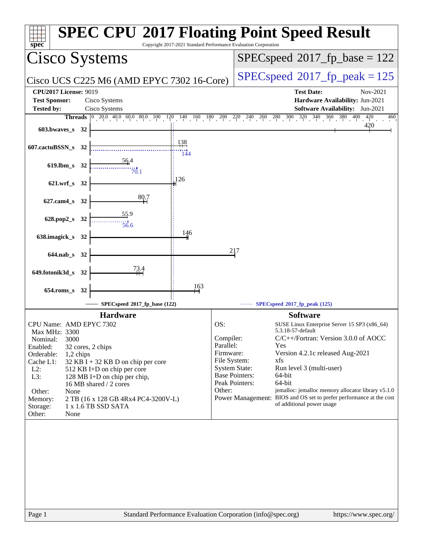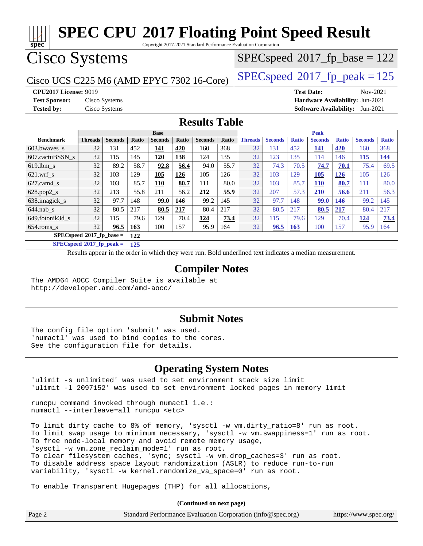Copyright 2017-2021 Standard Performance Evaluation Corporation

## Cisco Systems

Cisco UCS C225 M6 (AMD EPYC 7302 16-Core)  $\left| \text{SPEC speed} \right|^{2}$  2017 fp peak = 125

 $SPEC speed^{\circ}2017\_fp\_base = 122$ 

**[spec](http://www.spec.org/)**

**[CPU2017 License:](http://www.spec.org/auto/cpu2017/Docs/result-fields.html#CPU2017License)** 9019 **[Test Date:](http://www.spec.org/auto/cpu2017/Docs/result-fields.html#TestDate)** Nov-2021 **[Test Sponsor:](http://www.spec.org/auto/cpu2017/Docs/result-fields.html#TestSponsor)** Cisco Systems **[Hardware Availability:](http://www.spec.org/auto/cpu2017/Docs/result-fields.html#HardwareAvailability)** Jun-2021 **[Tested by:](http://www.spec.org/auto/cpu2017/Docs/result-fields.html#Testedby)** Cisco Systems **[Software Availability:](http://www.spec.org/auto/cpu2017/Docs/result-fields.html#SoftwareAvailability)** Jun-2021

### **[Results Table](http://www.spec.org/auto/cpu2017/Docs/result-fields.html#ResultsTable)**

|                                    |                |                |            | <b>Base</b>    |       |                |       |                |                |              | <b>Peak</b>    |              |                |              |
|------------------------------------|----------------|----------------|------------|----------------|-------|----------------|-------|----------------|----------------|--------------|----------------|--------------|----------------|--------------|
| <b>Benchmark</b>                   | <b>Threads</b> | <b>Seconds</b> | Ratio      | <b>Seconds</b> | Ratio | <b>Seconds</b> | Ratio | <b>Threads</b> | <b>Seconds</b> | <b>Ratio</b> | <b>Seconds</b> | <b>Ratio</b> | <b>Seconds</b> | <b>Ratio</b> |
| 603.bwayes s                       | 32             | 131            | 452        | 141            | 420   | 160            | 368   | 32             | 131            | 452          | 141            | 420          | 160            | 368          |
| 607.cactuBSSN s                    | 32             | 115            | 145        | 120            | 138   | 124            | 135   | 32             | 123            | 135          | 114            | 146          | <u>115</u>     | <u>144</u>   |
| $619.1$ bm s                       | 32             | 89.2           | 58.7       | 92.8           | 56.4  | 94.0           | 55.7  | 32             | 74.3           | 70.5         | 74.7           | 70.1         | 75.4           | 69.5         |
| $621$ .wrf s                       | 32             | 103            | 129        | 105            | 126   | 105            | 126   | 32             | 103            | 129          | 105            | <u>126</u>   | 105            | 126          |
| $627.cam4_s$                       | 32             | 103            | 85.7       | 110            | 80.7  | 111            | 80.0  | 32             | 103            | 85.7         | <b>110</b>     | 80.7         | 111            | 80.0         |
| $628.pop2_s$                       | 32             | 213            | 55.8       | 211            | 56.2  | 212            | 55.9  | 32             | 207            | 57.3         | 210            | 56.6         | 211            | 56.3         |
| 638.imagick_s                      | 32             | 97.7           | 148        | 99.0           | 146   | 99.2           | 145   | 32             | 97.7           | 148          | <b>99.0</b>    | 146          | 99.2           | 145          |
| $644$ .nab s                       | 32             | 80.5           | 217        | 80.5           | 217   | 80.4           | 217   | 32             | 80.5           | 217          | 80.5           | 217          | 80.4           | 217          |
| 649.fotonik3d s                    | 32             | 115            | 79.6       | 129            | 70.4  | 124            | 73.4  | 32             | 115            | 79.6         | 129            | 70.4         | 124            | 73.4         |
| $654$ .roms s                      | 32             | 96.5           | <b>163</b> | 100            | 157   | 95.9           | 164   | 32             | 96.5           | <b>163</b>   | 100            | 157          | 95.9           | 164          |
| $SPECspeed^{\circ 2017}$ fp base = |                |                | 122        |                |       |                |       |                |                |              |                |              |                |              |

**[SPECspeed](http://www.spec.org/auto/cpu2017/Docs/result-fields.html#SPECspeed2017fppeak)[2017\\_fp\\_peak =](http://www.spec.org/auto/cpu2017/Docs/result-fields.html#SPECspeed2017fppeak) 125**

Results appear in the [order in which they were run.](http://www.spec.org/auto/cpu2017/Docs/result-fields.html#RunOrder) Bold underlined text [indicates a median measurement](http://www.spec.org/auto/cpu2017/Docs/result-fields.html#Median).

### **[Compiler Notes](http://www.spec.org/auto/cpu2017/Docs/result-fields.html#CompilerNotes)**

The AMD64 AOCC Compiler Suite is available at <http://developer.amd.com/amd-aocc/>

### **[Submit Notes](http://www.spec.org/auto/cpu2017/Docs/result-fields.html#SubmitNotes)**

The config file option 'submit' was used. 'numactl' was used to bind copies to the cores. See the configuration file for details.

### **[Operating System Notes](http://www.spec.org/auto/cpu2017/Docs/result-fields.html#OperatingSystemNotes)**

'ulimit -s unlimited' was used to set environment stack size limit 'ulimit -l 2097152' was used to set environment locked pages in memory limit

runcpu command invoked through numactl i.e.: numactl --interleave=all runcpu <etc>

To limit dirty cache to 8% of memory, 'sysctl -w vm.dirty\_ratio=8' run as root. To limit swap usage to minimum necessary, 'sysctl -w vm.swappiness=1' run as root. To free node-local memory and avoid remote memory usage, 'sysctl -w vm.zone\_reclaim\_mode=1' run as root. To clear filesystem caches, 'sync; sysctl -w vm.drop\_caches=3' run as root. To disable address space layout randomization (ASLR) to reduce run-to-run variability, 'sysctl -w kernel.randomize\_va\_space=0' run as root.

To enable Transparent Hugepages (THP) for all allocations,

**(Continued on next page)**

| Page 2 | Standard Performance Evaluation Corporation (info@spec.org) | https://www.spec.org/ |
|--------|-------------------------------------------------------------|-----------------------|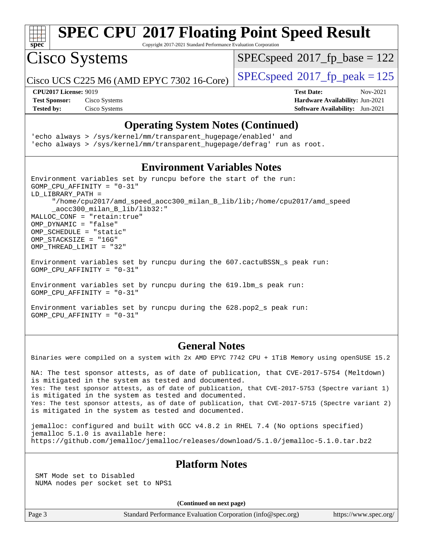

Copyright 2017-2021 Standard Performance Evaluation Corporation

Cisco Systems

[SPECspeed](http://www.spec.org/auto/cpu2017/Docs/result-fields.html#SPECspeed2017fpbase)<sup>®</sup>2017 fp base = 122

Cisco UCS C225 M6 (AMD EPYC 7302 16-Core)  $\left| \text{SPECspeed} \right| \approx 2017 \text{ fp\_peak} = 125$  $\left| \text{SPECspeed} \right| \approx 2017 \text{ fp\_peak} = 125$  $\left| \text{SPECspeed} \right| \approx 2017 \text{ fp\_peak} = 125$ 

**[Test Sponsor:](http://www.spec.org/auto/cpu2017/Docs/result-fields.html#TestSponsor)** Cisco Systems **[Hardware Availability:](http://www.spec.org/auto/cpu2017/Docs/result-fields.html#HardwareAvailability)** Jun-2021 **[Tested by:](http://www.spec.org/auto/cpu2017/Docs/result-fields.html#Testedby)** Cisco Systems **[Software Availability:](http://www.spec.org/auto/cpu2017/Docs/result-fields.html#SoftwareAvailability)** Jun-2021

**[CPU2017 License:](http://www.spec.org/auto/cpu2017/Docs/result-fields.html#CPU2017License)** 9019 **[Test Date:](http://www.spec.org/auto/cpu2017/Docs/result-fields.html#TestDate)** Nov-2021

### **[Operating System Notes \(Continued\)](http://www.spec.org/auto/cpu2017/Docs/result-fields.html#OperatingSystemNotes)**

'echo always > /sys/kernel/mm/transparent\_hugepage/enabled' and 'echo always > /sys/kernel/mm/transparent\_hugepage/defrag' run as root.

### **[Environment Variables Notes](http://www.spec.org/auto/cpu2017/Docs/result-fields.html#EnvironmentVariablesNotes)**

Environment variables set by runcpu before the start of the run: GOMP\_CPU\_AFFINITY = "0-31" LD\_LIBRARY\_PATH = "/home/cpu2017/amd\_speed\_aocc300\_milan\_B\_lib/lib;/home/cpu2017/amd\_speed \_aocc300\_milan\_B\_lib/lib32:" MALLOC\_CONF = "retain:true" OMP\_DYNAMIC = "false" OMP\_SCHEDULE = "static" OMP\_STACKSIZE = "16G" OMP\_THREAD\_LIMIT = "32"

Environment variables set by runcpu during the 607.cactuBSSN\_s peak run: GOMP\_CPU\_AFFINITY = "0-31"

Environment variables set by runcpu during the 619.lbm\_s peak run: GOMP\_CPU\_AFFINITY = "0-31"

Environment variables set by runcpu during the 628.pop2\_s peak run: GOMP\_CPU\_AFFINITY = "0-31"

### **[General Notes](http://www.spec.org/auto/cpu2017/Docs/result-fields.html#GeneralNotes)**

Binaries were compiled on a system with 2x AMD EPYC 7742 CPU + 1TiB Memory using openSUSE 15.2

NA: The test sponsor attests, as of date of publication, that CVE-2017-5754 (Meltdown) is mitigated in the system as tested and documented. Yes: The test sponsor attests, as of date of publication, that CVE-2017-5753 (Spectre variant 1) is mitigated in the system as tested and documented. Yes: The test sponsor attests, as of date of publication, that CVE-2017-5715 (Spectre variant 2) is mitigated in the system as tested and documented.

jemalloc: configured and built with GCC v4.8.2 in RHEL 7.4 (No options specified) jemalloc 5.1.0 is available here: <https://github.com/jemalloc/jemalloc/releases/download/5.1.0/jemalloc-5.1.0.tar.bz2>

### **[Platform Notes](http://www.spec.org/auto/cpu2017/Docs/result-fields.html#PlatformNotes)**

 SMT Mode set to Disabled NUMA nodes per socket set to NPS1

**(Continued on next page)**

Page 3 Standard Performance Evaluation Corporation [\(info@spec.org\)](mailto:info@spec.org) <https://www.spec.org/>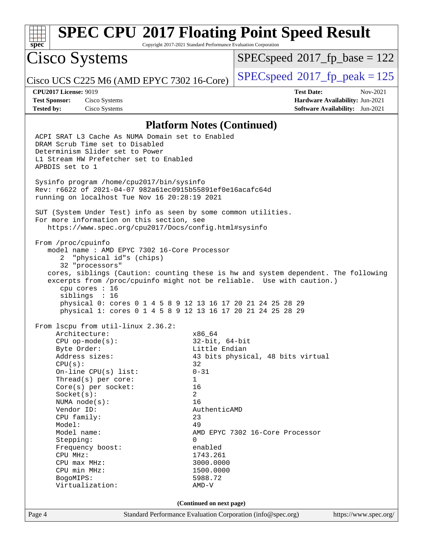### **[spec](http://www.spec.org/) [SPEC CPU](http://www.spec.org/auto/cpu2017/Docs/result-fields.html#SPECCPU2017FloatingPointSpeedResult)[2017 Floating Point Speed Result](http://www.spec.org/auto/cpu2017/Docs/result-fields.html#SPECCPU2017FloatingPointSpeedResult)** Copyright 2017-2021 Standard Performance Evaluation Corporation Cisco Systems Cisco UCS C225 M6 (AMD EPYC 7302 16-Core)  $\left|$  [SPECspeed](http://www.spec.org/auto/cpu2017/Docs/result-fields.html#SPECspeed2017fppeak)®[2017\\_fp\\_peak = 1](http://www.spec.org/auto/cpu2017/Docs/result-fields.html#SPECspeed2017fppeak)25  $SPEC speed^{\circ}2017\_fp\_base = 122$ **[CPU2017 License:](http://www.spec.org/auto/cpu2017/Docs/result-fields.html#CPU2017License)** 9019 **[Test Date:](http://www.spec.org/auto/cpu2017/Docs/result-fields.html#TestDate)** Nov-2021 **[Test Sponsor:](http://www.spec.org/auto/cpu2017/Docs/result-fields.html#TestSponsor)** Cisco Systems **[Hardware Availability:](http://www.spec.org/auto/cpu2017/Docs/result-fields.html#HardwareAvailability)** Jun-2021 **[Tested by:](http://www.spec.org/auto/cpu2017/Docs/result-fields.html#Testedby)** Cisco Systems **[Software Availability:](http://www.spec.org/auto/cpu2017/Docs/result-fields.html#SoftwareAvailability)** Jun-2021 **[Platform Notes \(Continued\)](http://www.spec.org/auto/cpu2017/Docs/result-fields.html#PlatformNotes)** ACPI SRAT L3 Cache As NUMA Domain set to Enabled DRAM Scrub Time set to Disabled Determinism Slider set to Power L1 Stream HW Prefetcher set to Enabled APBDIS set to 1 Sysinfo program /home/cpu2017/bin/sysinfo Rev: r6622 of 2021-04-07 982a61ec0915b55891ef0e16acafc64d running on localhost Tue Nov 16 20:28:19 2021 SUT (System Under Test) info as seen by some common utilities. For more information on this section, see <https://www.spec.org/cpu2017/Docs/config.html#sysinfo> From /proc/cpuinfo model name : AMD EPYC 7302 16-Core Processor 2 "physical id"s (chips) 32 "processors" cores, siblings (Caution: counting these is hw and system dependent. The following excerpts from /proc/cpuinfo might not be reliable. Use with caution.) cpu cores : 16 siblings : 16 physical 0: cores 0 1 4 5 8 9 12 13 16 17 20 21 24 25 28 29 physical 1: cores 0 1 4 5 8 9 12 13 16 17 20 21 24 25 28 29 From lscpu from util-linux 2.36.2: Architecture: x86\_64<br>
CPU op-mode(s): 32-bit, 64-bit CPU op-mode( $s$ ): Byte Order: Little Endian Address sizes: 43 bits physical, 48 bits virtual  $CPU(s):$  32 On-line CPU(s) list: 0-31 Thread(s) per core: 1 Core(s) per socket: 16 Socket(s): 2 NUMA node(s): 16 Vendor ID: AuthenticAMD CPU family: 23 Model: 49 Model name:  $\text{AMD EPYC } 7302 \text{ 16-Core } \text{Processor}$ Stepping: 0 Frequency boost: enabled CPU MHz: 1743.261 CPU max MHz: 3000.0000 CPU min MHz: 1500.0000 BogoMIPS: 5988.72 Virtualization: AMD-V **(Continued on next page)**

Page 4 Standard Performance Evaluation Corporation [\(info@spec.org\)](mailto:info@spec.org) <https://www.spec.org/>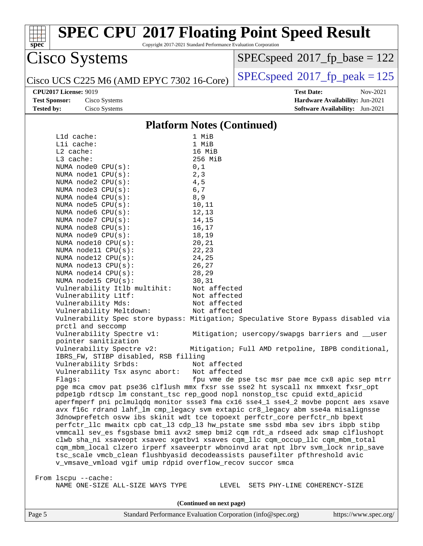| Copyright 2017-2021 Standard Performance Evaluation Corporation<br>spec     |                                   | <b>SPEC CPU®2017 Floating Point Speed Result</b>                                                                                                                       |
|-----------------------------------------------------------------------------|-----------------------------------|------------------------------------------------------------------------------------------------------------------------------------------------------------------------|
| Cisco Systems                                                               |                                   | $SPEC speed^{\circ}2017$ _fp_base = 122                                                                                                                                |
| Cisco UCS C225 M6 (AMD EPYC 7302 16-Core)                                   |                                   | $SPEC speed^{\circ}2017$ [p_peak = 125                                                                                                                                 |
| <b>CPU2017 License: 9019</b>                                                |                                   | <b>Test Date:</b><br>Nov-2021                                                                                                                                          |
| <b>Test Sponsor:</b><br>Cisco Systems                                       |                                   | Hardware Availability: Jun-2021                                                                                                                                        |
| <b>Tested by:</b><br>Cisco Systems                                          |                                   | <b>Software Availability:</b> Jun-2021                                                                                                                                 |
|                                                                             | <b>Platform Notes (Continued)</b> |                                                                                                                                                                        |
| Lld cache:                                                                  | 1 MiB                             |                                                                                                                                                                        |
| Lli cache:                                                                  | 1 MiB                             |                                                                                                                                                                        |
| L2 cache:                                                                   | 16 MiB                            |                                                                                                                                                                        |
| L3 cache:                                                                   | 256 MiB                           |                                                                                                                                                                        |
| NUMA node0 CPU(s):                                                          | 0,1                               |                                                                                                                                                                        |
| NUMA nodel CPU(s):                                                          | 2, 3                              |                                                                                                                                                                        |
| NUMA $node2$ $CPU(s):$                                                      | 4,5                               |                                                                                                                                                                        |
| NUMA node3 CPU(s):                                                          | $6,7$                             |                                                                                                                                                                        |
| NUMA node4 CPU(s):                                                          | 8, 9                              |                                                                                                                                                                        |
| NUMA $node5$ $CPU(s):$                                                      | 10,11                             |                                                                                                                                                                        |
| NUMA node6 CPU(s):                                                          | 12,13                             |                                                                                                                                                                        |
| NUMA node7 CPU(s):                                                          | 14,15                             |                                                                                                                                                                        |
| NUMA node8 CPU(s):                                                          | 16,17                             |                                                                                                                                                                        |
| NUMA node9 CPU(s):                                                          | 18,19                             |                                                                                                                                                                        |
| NUMA node10 CPU(s):<br>NUMA node11 CPU(s):                                  | 20,21<br>22,23                    |                                                                                                                                                                        |
| NUMA node12 CPU(s):                                                         | 24,25                             |                                                                                                                                                                        |
| NUMA $node13$ CPU $(s)$ :                                                   | 26,27                             |                                                                                                                                                                        |
| NUMA $node14$ CPU $(s)$ :                                                   | 28,29                             |                                                                                                                                                                        |
| NUMA node15 CPU(s):                                                         | 30,31                             |                                                                                                                                                                        |
| Vulnerability Itlb multihit:                                                | Not affected                      |                                                                                                                                                                        |
| Vulnerability L1tf:                                                         | Not affected                      |                                                                                                                                                                        |
| Vulnerability Mds:                                                          | Not affected                      |                                                                                                                                                                        |
| Vulnerability Meltdown:                                                     | Not affected                      |                                                                                                                                                                        |
| prctl and seccomp                                                           |                                   | Vulnerability Spec store bypass: Mitigation; Speculative Store Bypass disabled via                                                                                     |
| Vulnerability Spectre v1:<br>pointer sanitization                           |                                   | Mitigation; usercopy/swapgs barriers and __user                                                                                                                        |
| Vulnerability Spectre v2:<br>IBRS_FW, STIBP disabled, RSB filling           | Not affected                      | Mitigation; Full AMD retpoline, IBPB conditional,                                                                                                                      |
| Vulnerability Srbds:<br>Vulnerability Tsx async abort:                      | Not affected                      |                                                                                                                                                                        |
| Flags:                                                                      |                                   | fpu vme de pse tsc msr pae mce cx8 apic sep mtrr                                                                                                                       |
| pdpelgb rdtscp lm constant_tsc rep_good nopl nonstop_tsc cpuid extd_apicid  |                                   | pge mca cmov pat pse36 clflush mmx fxsr sse sse2 ht syscall nx mmxext fxsr_opt<br>aperfmperf pni pclmulqdq monitor ssse3 fma cx16 sse4_1 sse4_2 movbe popcnt aes xsave |
| 3dnowprefetch osvw ibs skinit wdt tce topoext perfctr_core perfctr_nb bpext |                                   | avx f16c rdrand lahf_lm cmp_legacy svm extapic cr8_legacy abm sse4a misalignsse<br>perfctr_llc mwaitx cpb cat_13 cdp_13 hw_pstate sme ssbd mba sev ibrs ibpb stibp     |
|                                                                             |                                   | vmmcall sev_es fsgsbase bmil avx2 smep bmi2 cqm rdt_a rdseed adx smap clflushopt                                                                                       |
| tsc_scale vmcb_clean flushbyasid decodeassists pausefilter pfthreshold avic |                                   | clwb sha_ni xsaveopt xsavec xgetbvl xsaves cqm_llc cqm_occup_llc cqm_mbm_total<br>cqm_mbm_local clzero irperf xsaveerptr wbnoinvd arat npt lbrv svm_lock nrip_save     |
| v_vmsave_vmload vgif umip rdpid overflow_recov succor smca                  |                                   |                                                                                                                                                                        |
| From lscpu --cache:<br>NAME ONE-SIZE ALL-SIZE WAYS TYPE                     |                                   | LEVEL SETS PHY-LINE COHERENCY-SIZE                                                                                                                                     |
|                                                                             |                                   |                                                                                                                                                                        |
|                                                                             | (Continued on next page)          |                                                                                                                                                                        |
| Page 5                                                                      |                                   | Standard Performance Evaluation Corporation (info@spec.org)<br>https://www.spec.org/                                                                                   |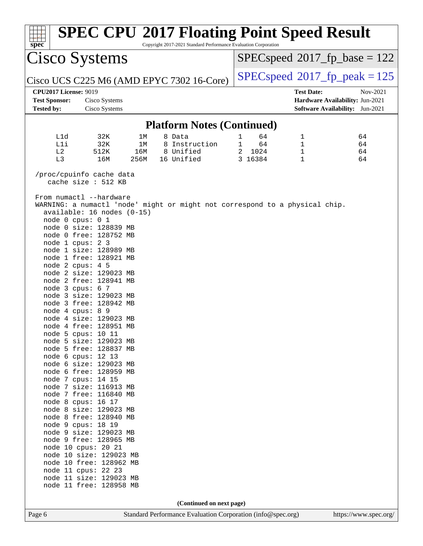| $spec*$                                              |                                                                                                                                                                                                                                                                                                                                                                                                                                                                                 |      | <b>SPEC CPU®2017 Floating Point Speed Result</b><br>Copyright 2017-2021 Standard Performance Evaluation Corporation |                      |                   |                                             |
|------------------------------------------------------|---------------------------------------------------------------------------------------------------------------------------------------------------------------------------------------------------------------------------------------------------------------------------------------------------------------------------------------------------------------------------------------------------------------------------------------------------------------------------------|------|---------------------------------------------------------------------------------------------------------------------|----------------------|-------------------|---------------------------------------------|
|                                                      | Cisco Systems                                                                                                                                                                                                                                                                                                                                                                                                                                                                   |      |                                                                                                                     |                      |                   | $SPEC speed^{\circ}2017$ fp base = 122      |
|                                                      |                                                                                                                                                                                                                                                                                                                                                                                                                                                                                 |      | Cisco UCS C225 M6 (AMD EPYC 7302 16-Core)                                                                           |                      |                   | $SPEC speed^{\circ}2017$ fp peak = 125      |
| <b>CPU2017 License: 9019</b><br><b>Test Sponsor:</b> | Cisco Systems                                                                                                                                                                                                                                                                                                                                                                                                                                                                   |      |                                                                                                                     |                      | <b>Test Date:</b> | Nov-2021<br>Hardware Availability: Jun-2021 |
| <b>Tested by:</b>                                    | Cisco Systems                                                                                                                                                                                                                                                                                                                                                                                                                                                                   |      |                                                                                                                     |                      |                   | <b>Software Availability:</b> Jun-2021      |
|                                                      |                                                                                                                                                                                                                                                                                                                                                                                                                                                                                 |      | <b>Platform Notes (Continued)</b>                                                                                   |                      |                   |                                             |
| L1d                                                  | 32K                                                                                                                                                                                                                                                                                                                                                                                                                                                                             | 1М   | 8 Data                                                                                                              | 64<br>1              | 1                 | 64                                          |
| Lli                                                  | 32K                                                                                                                                                                                                                                                                                                                                                                                                                                                                             | 1M   | 8 Instruction                                                                                                       | 64<br>$\mathbf 1$    | 1                 | 64                                          |
| L2                                                   | 512K                                                                                                                                                                                                                                                                                                                                                                                                                                                                            | 16M  | 8 Unified                                                                                                           | 1024<br>$\mathbf{2}$ | 1                 | 64                                          |
| L3                                                   | 16M                                                                                                                                                                                                                                                                                                                                                                                                                                                                             | 256M | 16 Unified                                                                                                          | 3 16384              | $\mathbf{1}$      | 64                                          |
|                                                      | /proc/cpuinfo cache data<br>cache size : 512 KB                                                                                                                                                                                                                                                                                                                                                                                                                                 |      |                                                                                                                     |                      |                   |                                             |
|                                                      | From numactl --hardware<br>$available: 16 nodes (0-15)$<br>node 0 cpus: 0 1<br>node 0 size: 128839 MB<br>node 0 free: 128752 MB<br>node 1 cpus: 2 3<br>node 1 size: 128989 MB<br>node 1 free: 128921 MB<br>node 2 cpus: 4 5<br>node 2 size: 129023 MB<br>node 2 free: 128941 MB<br>node 3 cpus: 6 7<br>node 3 size: 129023 MB<br>node 3 free: 128942 MB<br>node 4 cpus: 8 9<br>node 4 size: 129023 MB<br>node 4 free: 128951 MB<br>node 5 cpus: 10 11<br>node 5 size: 129023 MB |      | WARNING: a numactl 'node' might or might not correspond to a physical chip.                                         |                      |                   |                                             |
|                                                      | node 5 free: 128837 MB                                                                                                                                                                                                                                                                                                                                                                                                                                                          |      |                                                                                                                     |                      |                   |                                             |
|                                                      | node 6 cpus: 12 13<br>node 6 size: 129023 MB                                                                                                                                                                                                                                                                                                                                                                                                                                    |      |                                                                                                                     |                      |                   |                                             |
|                                                      | node 6 free: 128959 MB                                                                                                                                                                                                                                                                                                                                                                                                                                                          |      |                                                                                                                     |                      |                   |                                             |
|                                                      | node 7 cpus: 14 15                                                                                                                                                                                                                                                                                                                                                                                                                                                              |      |                                                                                                                     |                      |                   |                                             |
|                                                      | node 7 size: 116913 MB                                                                                                                                                                                                                                                                                                                                                                                                                                                          |      |                                                                                                                     |                      |                   |                                             |
|                                                      | node 7 free: 116840 MB                                                                                                                                                                                                                                                                                                                                                                                                                                                          |      |                                                                                                                     |                      |                   |                                             |
|                                                      | node 8 cpus: 16 17                                                                                                                                                                                                                                                                                                                                                                                                                                                              |      |                                                                                                                     |                      |                   |                                             |
|                                                      | node 8 size: 129023 MB                                                                                                                                                                                                                                                                                                                                                                                                                                                          |      |                                                                                                                     |                      |                   |                                             |
|                                                      | node 8 free: 128940 MB                                                                                                                                                                                                                                                                                                                                                                                                                                                          |      |                                                                                                                     |                      |                   |                                             |
|                                                      | node 9 cpus: 18 19                                                                                                                                                                                                                                                                                                                                                                                                                                                              |      |                                                                                                                     |                      |                   |                                             |
|                                                      | node 9 size: 129023 MB                                                                                                                                                                                                                                                                                                                                                                                                                                                          |      |                                                                                                                     |                      |                   |                                             |
|                                                      | node 9 free: 128965 MB                                                                                                                                                                                                                                                                                                                                                                                                                                                          |      |                                                                                                                     |                      |                   |                                             |
|                                                      | node 10 cpus: 20 21                                                                                                                                                                                                                                                                                                                                                                                                                                                             |      |                                                                                                                     |                      |                   |                                             |
|                                                      | node 10 size: 129023 MB                                                                                                                                                                                                                                                                                                                                                                                                                                                         |      |                                                                                                                     |                      |                   |                                             |
|                                                      | node 10 free: 128962 MB                                                                                                                                                                                                                                                                                                                                                                                                                                                         |      |                                                                                                                     |                      |                   |                                             |
|                                                      | node 11 cpus: 22 23                                                                                                                                                                                                                                                                                                                                                                                                                                                             |      |                                                                                                                     |                      |                   |                                             |
|                                                      | node 11 size: 129023 MB                                                                                                                                                                                                                                                                                                                                                                                                                                                         |      |                                                                                                                     |                      |                   |                                             |
|                                                      | node 11 free: 128958 MB                                                                                                                                                                                                                                                                                                                                                                                                                                                         |      |                                                                                                                     |                      |                   |                                             |
|                                                      |                                                                                                                                                                                                                                                                                                                                                                                                                                                                                 |      |                                                                                                                     |                      |                   |                                             |
|                                                      |                                                                                                                                                                                                                                                                                                                                                                                                                                                                                 |      | (Continued on next page)                                                                                            |                      |                   |                                             |
| Page 6                                               |                                                                                                                                                                                                                                                                                                                                                                                                                                                                                 |      | Standard Performance Evaluation Corporation (info@spec.org)                                                         |                      |                   | https://www.spec.org/                       |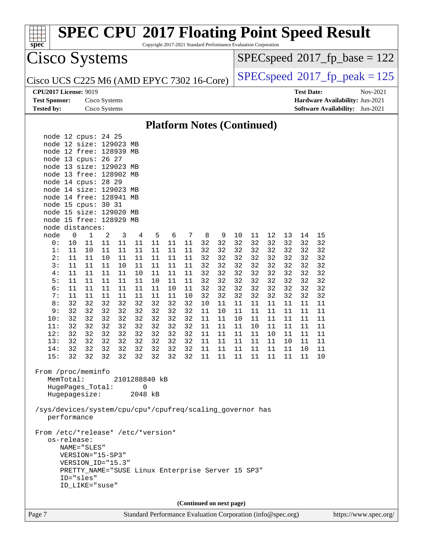| spec <sup>®</sup>                                         |             |                                                   |               |          |              | Copyright 2017-2021 Standard Performance Evaluation Corporation |          |          |          |                          |          |          |          |          |                   | <b>SPEC CPU®2017 Floating Point Speed Result</b> |          |  |
|-----------------------------------------------------------|-------------|---------------------------------------------------|---------------|----------|--------------|-----------------------------------------------------------------|----------|----------|----------|--------------------------|----------|----------|----------|----------|-------------------|--------------------------------------------------|----------|--|
| Cisco Systems                                             |             |                                                   |               |          |              |                                                                 |          |          |          |                          |          |          |          |          |                   | $SPEC speed^{\circ}2017\_fp\_base = 122$         |          |  |
| Cisco UCS C225 M6 (AMD EPYC 7302 16-Core)                 |             |                                                   |               |          |              |                                                                 |          |          |          |                          |          |          |          |          |                   | $SPEC speed^{\circ}2017$ _fp_peak = 125          |          |  |
| <b>CPU2017 License: 9019</b>                              |             |                                                   |               |          |              |                                                                 |          |          |          |                          |          |          |          |          | <b>Test Date:</b> |                                                  | Nov-2021 |  |
| <b>Test Sponsor:</b>                                      |             |                                                   | Cisco Systems |          |              |                                                                 |          |          |          |                          |          |          |          |          |                   | Hardware Availability: Jun-2021                  |          |  |
| <b>Tested by:</b>                                         |             |                                                   | Cisco Systems |          |              |                                                                 |          |          |          |                          |          |          |          |          |                   | <b>Software Availability:</b> Jun-2021           |          |  |
|                                                           |             |                                                   |               |          |              | <b>Platform Notes (Continued)</b>                               |          |          |          |                          |          |          |          |          |                   |                                                  |          |  |
| node 12 cpus: 24 25                                       |             |                                                   |               |          |              |                                                                 |          |          |          |                          |          |          |          |          |                   |                                                  |          |  |
| node 12 size: 129023 MB                                   |             |                                                   |               |          |              |                                                                 |          |          |          |                          |          |          |          |          |                   |                                                  |          |  |
| node 12 free: 128939 MB                                   |             |                                                   |               |          |              |                                                                 |          |          |          |                          |          |          |          |          |                   |                                                  |          |  |
| node 13 cpus:<br>node 13 size: 129023 MB                  |             |                                                   | 26 27         |          |              |                                                                 |          |          |          |                          |          |          |          |          |                   |                                                  |          |  |
| node 13 free: 128902 MB                                   |             |                                                   |               |          |              |                                                                 |          |          |          |                          |          |          |          |          |                   |                                                  |          |  |
| node 14 cpus: 28 29                                       |             |                                                   |               |          |              |                                                                 |          |          |          |                          |          |          |          |          |                   |                                                  |          |  |
| node 14 size: 129023 MB                                   |             |                                                   |               |          |              |                                                                 |          |          |          |                          |          |          |          |          |                   |                                                  |          |  |
| node 14 free: 128941 MB                                   |             |                                                   |               |          |              |                                                                 |          |          |          |                          |          |          |          |          |                   |                                                  |          |  |
| node 15 cpus:                                             |             |                                                   | 30 31         |          |              |                                                                 |          |          |          |                          |          |          |          |          |                   |                                                  |          |  |
| node 15 size: 129020 MB<br>node 15 free: 128929 MB        |             |                                                   |               |          |              |                                                                 |          |          |          |                          |          |          |          |          |                   |                                                  |          |  |
| node distances:                                           |             |                                                   |               |          |              |                                                                 |          |          |          |                          |          |          |          |          |                   |                                                  |          |  |
| node                                                      | 0           | 1                                                 | 2             | 3        | 4            | 5                                                               | 6        | 7        | 8        | 9                        | 10       | 11       | 12       | 13       | 14                | 15                                               |          |  |
| 0:                                                        | 10          | 11                                                | 11            | 11       | 11           | 11                                                              | 11       | 11       | 32       | 32                       | 32       | 32       | 32       | 32       | 32                | 32                                               |          |  |
| 1:                                                        | 11          | 10                                                | 11            | 11       | 11           | 11                                                              | 11       | 11       | 32       | 32                       | 32       | 32       | 32       | 32       | 32                | 32                                               |          |  |
| 2:                                                        | 11          | 11                                                | 10            | 11       | 11           | 11                                                              | 11       | 11       | 32       | 32                       | 32       | 32       | 32       | 32       | 32                | 32                                               |          |  |
| 3:<br>4:                                                  | 11<br>11    | 11<br>11                                          | 11            | 10       | 11           | 11                                                              | 11       | 11       | 32<br>32 | 32                       | 32       | 32<br>32 | 32       | 32       | 32<br>32          | 32                                               |          |  |
| 5:                                                        | 11          | 11                                                | 11<br>11      | 11<br>11 | 10<br>11     | 11<br>10                                                        | 11<br>11 | 11<br>11 | 32       | 32<br>32                 | 32<br>32 | 32       | 32<br>32 | 32<br>32 | 32                | 32<br>32                                         |          |  |
| 6:                                                        | 11          | 11                                                | 11            | 11       | 11           | 11                                                              | 10       | 11       | 32       | 32                       | 32       | 32       | 32       | 32       | 32                | 32                                               |          |  |
| 7:                                                        | 11          | 11                                                | 11            | 11       | 11           | 11                                                              | 11       | 10       | 32       | 32                       | 32       | 32       | 32       | 32       | 32                | 32                                               |          |  |
| 8:                                                        | 32          | 32                                                | 32            | 32       | 32           | 32                                                              | 32       | 32       | 10       | 11                       | 11       | 11       | 11       | 11       | 11                | 11                                               |          |  |
| 9:                                                        | 32          | 32                                                | 32            | 32       | 32           | 32                                                              | 32       | 32       | 11       | 10                       | 11       | 11       | 11       | 11       | 11                | 11                                               |          |  |
| 10:<br>11:                                                | 32<br>32    | 32<br>32                                          | 32<br>32      | 32<br>32 | 32<br>32     | 32<br>32                                                        | 32<br>32 | 32<br>32 | 11<br>11 | 11<br>11                 | 10<br>11 | 11<br>10 | 11<br>11 | 11<br>11 | 11<br>11          | 11<br>11                                         |          |  |
| 12:                                                       | 32          | 32                                                | 32            | 32       | 32           | 32                                                              | 32       | 32       | $11\,$   | $11\,$                   | $11\,$   | 11       | $10$     | $11\,$   | 11                | 11                                               |          |  |
| 13:                                                       | 32          | 32                                                | 32            | 32       | 32           | 32                                                              | 32       | 32       | 11       | 11                       | 11       | 11       | 11       | $10 \,$  | 11                | 11                                               |          |  |
| 14:                                                       | 32          | 32                                                | 32            | 32       | 32           | 32                                                              | 32       | 32       | 11       | 11                       | 11       | 11       | 11       | 11       | 10                | 11                                               |          |  |
| 15:                                                       | 32          | 32                                                | 32            | 32       | 32           | 32                                                              | 32       | 32       | 11       | 11                       | 11       | 11       | 11       | 11       | 11                | 10                                               |          |  |
| From /proc/meminfo                                        |             |                                                   |               |          |              |                                                                 |          |          |          |                          |          |          |          |          |                   |                                                  |          |  |
|                                                           | MemTotal:   |                                                   |               |          |              | 2101288840 kB                                                   |          |          |          |                          |          |          |          |          |                   |                                                  |          |  |
|                                                           |             | HugePages_Total:<br>Hugepagesize:                 |               |          | 0<br>2048 kB |                                                                 |          |          |          |                          |          |          |          |          |                   |                                                  |          |  |
|                                                           |             |                                                   |               |          |              |                                                                 |          |          |          |                          |          |          |          |          |                   |                                                  |          |  |
| /sys/devices/system/cpu/cpu*/cpufreq/scaling_governor has | performance |                                                   |               |          |              |                                                                 |          |          |          |                          |          |          |          |          |                   |                                                  |          |  |
|                                                           |             |                                                   |               |          |              |                                                                 |          |          |          |                          |          |          |          |          |                   |                                                  |          |  |
| From /etc/*release* /etc/*version*                        |             |                                                   |               |          |              |                                                                 |          |          |          |                          |          |          |          |          |                   |                                                  |          |  |
|                                                           | os-release: |                                                   |               |          |              |                                                                 |          |          |          |                          |          |          |          |          |                   |                                                  |          |  |
|                                                           |             | NAME="SLES"<br>VERSION="15-SP3"                   |               |          |              |                                                                 |          |          |          |                          |          |          |          |          |                   |                                                  |          |  |
|                                                           |             | VERSION_ID="15.3"                                 |               |          |              |                                                                 |          |          |          |                          |          |          |          |          |                   |                                                  |          |  |
|                                                           |             | PRETTY_NAME="SUSE Linux Enterprise Server 15 SP3" |               |          |              |                                                                 |          |          |          |                          |          |          |          |          |                   |                                                  |          |  |
|                                                           | ID="sles"   |                                                   |               |          |              |                                                                 |          |          |          |                          |          |          |          |          |                   |                                                  |          |  |
|                                                           |             | ID_LIKE="suse"                                    |               |          |              |                                                                 |          |          |          |                          |          |          |          |          |                   |                                                  |          |  |
|                                                           |             |                                                   |               |          |              |                                                                 |          |          |          |                          |          |          |          |          |                   |                                                  |          |  |
|                                                           |             |                                                   |               |          |              |                                                                 |          |          |          | (Continued on next page) |          |          |          |          |                   |                                                  |          |  |

Page 7 Standard Performance Evaluation Corporation [\(info@spec.org\)](mailto:info@spec.org) <https://www.spec.org/>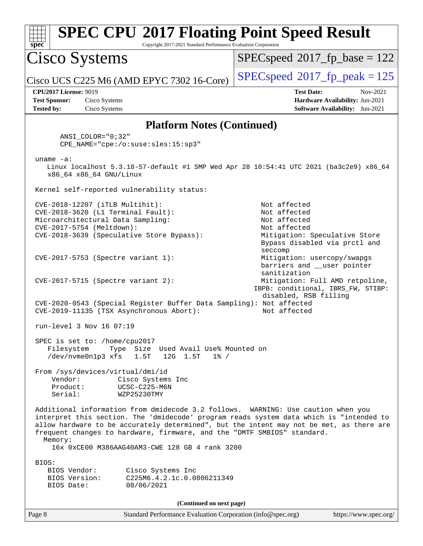| <b>SPEC CPU®2017 Floating Point Speed Result</b><br>Copyright 2017-2021 Standard Performance Evaluation Corporation<br>$\mathbf{spec}^*$                                                                                                                                                                                                                                                                                                  |                                                                                                                                |
|-------------------------------------------------------------------------------------------------------------------------------------------------------------------------------------------------------------------------------------------------------------------------------------------------------------------------------------------------------------------------------------------------------------------------------------------|--------------------------------------------------------------------------------------------------------------------------------|
| Cisco Systems                                                                                                                                                                                                                                                                                                                                                                                                                             | $SPEC speed^{\circ}2017$ fp base = 122                                                                                         |
| Cisco UCS C225 M6 (AMD EPYC 7302 16-Core)                                                                                                                                                                                                                                                                                                                                                                                                 | $SPEC speed^{\circ}2017$ _fp_peak = 125                                                                                        |
| <b>CPU2017 License: 9019</b><br><b>Test Sponsor:</b><br>Cisco Systems<br><b>Tested by:</b><br>Cisco Systems                                                                                                                                                                                                                                                                                                                               | <b>Test Date:</b><br>Nov-2021<br>Hardware Availability: Jun-2021<br>Software Availability: Jun-2021                            |
| <b>Platform Notes (Continued)</b>                                                                                                                                                                                                                                                                                                                                                                                                         |                                                                                                                                |
| $ANSI\_COLOR = "0; 32"$<br>CPE_NAME="cpe:/o:suse:sles:15:sp3"                                                                                                                                                                                                                                                                                                                                                                             |                                                                                                                                |
| $uname -a$ :<br>Linux localhost 5.3.18-57-default #1 SMP Wed Apr 28 10:54:41 UTC 2021 (ba3c2e9) x86_64<br>x86_64 x86_64 GNU/Linux                                                                                                                                                                                                                                                                                                         |                                                                                                                                |
| Kernel self-reported vulnerability status:                                                                                                                                                                                                                                                                                                                                                                                                |                                                                                                                                |
| CVE-2018-12207 (iTLB Multihit):<br>CVE-2018-3620 (L1 Terminal Fault):<br>Microarchitectural Data Sampling:<br>CVE-2017-5754 (Meltdown):<br>CVE-2018-3639 (Speculative Store Bypass):                                                                                                                                                                                                                                                      | Not affected<br>Not affected<br>Not affected<br>Not affected<br>Mitigation: Speculative Store<br>Bypass disabled via prctl and |
| $CVE-2017-5753$ (Spectre variant 1):                                                                                                                                                                                                                                                                                                                                                                                                      | seccomp<br>Mitigation: usercopy/swapgs<br>barriers and __user pointer<br>sanitization                                          |
| $CVE-2017-5715$ (Spectre variant 2):<br>CVE-2020-0543 (Special Register Buffer Data Sampling): Not affected<br>CVE-2019-11135 (TSX Asynchronous Abort):                                                                                                                                                                                                                                                                                   | Mitigation: Full AMD retpoline,<br>IBPB: conditional, IBRS_FW, STIBP:<br>disabled, RSB filling<br>Not affected                 |
| run-level 3 Nov 16 07:19                                                                                                                                                                                                                                                                                                                                                                                                                  |                                                                                                                                |
| SPEC is set to: /home/cpu2017<br>Filesystem<br>Type Size Used Avail Use% Mounted on<br>/dev/nvme0n1p3 xfs<br>1.5T<br>12G 1.5T<br>$1\%$ /<br>From /sys/devices/virtual/dmi/id<br>Vendor:<br>Cisco Systems Inc<br>UCSC-C225-M6N<br>Product:                                                                                                                                                                                                 |                                                                                                                                |
| Serial:<br>WZP25230TMY<br>Additional information from dmidecode 3.2 follows. WARNING: Use caution when you<br>interpret this section. The 'dmidecode' program reads system data which is "intended to<br>allow hardware to be accurately determined", but the intent may not be met, as there are<br>frequent changes to hardware, firmware, and the "DMTF SMBIOS" standard.<br>Memory:<br>16x 0xCE00 M386AAG40AM3-CWE 128 GB 4 rank 3200 |                                                                                                                                |
| BIOS:<br>BIOS Vendor:<br>Cisco Systems Inc<br>C225M6.4.2.1c.0.0806211349<br>BIOS Version:<br>BIOS Date:<br>08/06/2021                                                                                                                                                                                                                                                                                                                     |                                                                                                                                |
| (Continued on next page)                                                                                                                                                                                                                                                                                                                                                                                                                  |                                                                                                                                |
| Page 8<br>Standard Performance Evaluation Corporation (info@spec.org)                                                                                                                                                                                                                                                                                                                                                                     | https://www.spec.org/                                                                                                          |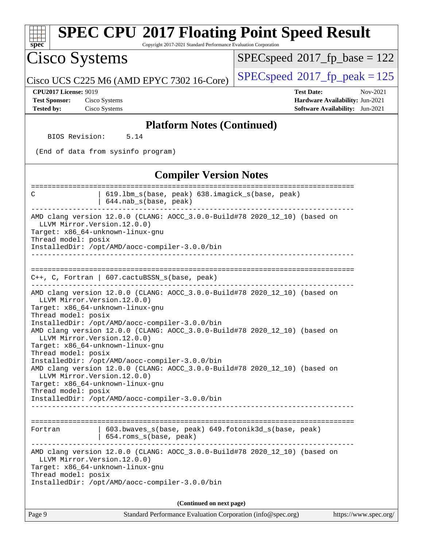| <b>SPEC CPU®2017 Floating Point Speed Result</b><br>Copyright 2017-2021 Standard Performance Evaluation Corporation<br>$spec^*$                                                                                                               |                                                                                                     |
|-----------------------------------------------------------------------------------------------------------------------------------------------------------------------------------------------------------------------------------------------|-----------------------------------------------------------------------------------------------------|
| Cisco Systems                                                                                                                                                                                                                                 | $SPEC speed^{\circ}2017$ [p_base = 122                                                              |
| Cisco UCS C225 M6 (AMD EPYC 7302 16-Core)                                                                                                                                                                                                     | $SPEC speed^{\circ}2017$ fp peak = 125                                                              |
| <b>CPU2017 License: 9019</b><br>Cisco Systems<br><b>Test Sponsor:</b><br><b>Tested by:</b><br>Cisco Systems                                                                                                                                   | <b>Test Date:</b><br>Nov-2021<br>Hardware Availability: Jun-2021<br>Software Availability: Jun-2021 |
| <b>Platform Notes (Continued)</b>                                                                                                                                                                                                             |                                                                                                     |
| BIOS Revision:<br>5.14                                                                                                                                                                                                                        |                                                                                                     |
| (End of data from sysinfo program)                                                                                                                                                                                                            |                                                                                                     |
| <b>Compiler Version Notes</b>                                                                                                                                                                                                                 |                                                                                                     |
| 619.1bm_s(base, peak) 638.imagick_s(base, peak)<br>С<br>644.nab_s(base, peak)                                                                                                                                                                 |                                                                                                     |
| AMD clang version 12.0.0 (CLANG: AOCC_3.0.0-Build#78 2020_12_10) (based on<br>LLVM Mirror. Version. 12.0.0)<br>Target: x86_64-unknown-linux-gnu<br>Thread model: posix<br>InstalledDir: /opt/AMD/aocc-compiler-3.0.0/bin                      |                                                                                                     |
| $C++$ , C, Fortran   607.cactuBSSN_s(base, peak)<br>AMD clang version 12.0.0 (CLANG: AOCC_3.0.0-Build#78 2020_12_10) (based on<br>LLVM Mirror. Version. 12.0.0)<br>Target: x86_64-unknown-linux-gnu                                           |                                                                                                     |
| Thread model: posix<br>InstalledDir: /opt/AMD/aocc-compiler-3.0.0/bin<br>AMD clang version 12.0.0 (CLANG: AOCC_3.0.0-Build#78 2020_12_10) (based on<br>LLVM Mirror.Version.12.0.0)<br>Target: x86_64-unknown-linux-gnu<br>Thread model: posix |                                                                                                     |
| InstalledDir: /opt/AMD/aocc-compiler-3.0.0/bin<br>AMD clang version 12.0.0 (CLANG: AOCC_3.0.0-Build#78 2020_12_10) (based on<br>LLVM Mirror. Version. 12.0.0)<br>Target: x86_64-unknown-linux-gnu<br>Thread model: posix                      |                                                                                                     |
| InstalledDir: /opt/AMD/aocc-compiler-3.0.0/bin                                                                                                                                                                                                |                                                                                                     |
| 603.bwaves_s(base, peak) 649.fotonik3d_s(base, peak)<br>Fortran<br>654.roms s(base, peak)<br>------------------------------                                                                                                                   |                                                                                                     |
| AMD clang version 12.0.0 (CLANG: AOCC_3.0.0-Build#78 2020_12_10) (based on<br>LLVM Mirror. Version. 12.0.0)<br>Target: x86_64-unknown-linux-gnu<br>Thread model: posix<br>InstalledDir: /opt/AMD/aocc-compiler-3.0.0/bin                      |                                                                                                     |
|                                                                                                                                                                                                                                               |                                                                                                     |
| (Continued on next page)<br>Page 9<br>Standard Performance Evaluation Corporation (info@spec.org)                                                                                                                                             | https://www.spec.org/                                                                               |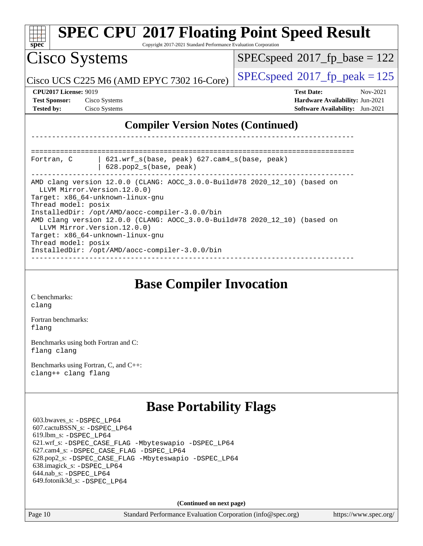| $spec^*$                                                                  | <b>SPEC CPU®2017 Floating Point Speed Result</b><br>Copyright 2017-2021 Standard Performance Evaluation Corporation                                                                                                                                                                                              |                                                                                                                   |
|---------------------------------------------------------------------------|------------------------------------------------------------------------------------------------------------------------------------------------------------------------------------------------------------------------------------------------------------------------------------------------------------------|-------------------------------------------------------------------------------------------------------------------|
| Cisco Systems                                                             |                                                                                                                                                                                                                                                                                                                  | $SPEC speed^{\circ}2017$ fp base = 122                                                                            |
|                                                                           | Cisco UCS C225 M6 (AMD EPYC 7302 16-Core)                                                                                                                                                                                                                                                                        | $SPEC speed^{\circ}2017$ _fp_peak = 125                                                                           |
| <b>CPU2017 License: 9019</b><br><b>Test Sponsor:</b><br><b>Tested by:</b> | Cisco Systems<br>Cisco Systems                                                                                                                                                                                                                                                                                   | <b>Test Date:</b><br>Nov-2021<br><b>Hardware Availability: Jun-2021</b><br><b>Software Availability:</b> Jun-2021 |
|                                                                           | <b>Compiler Version Notes (Continued)</b>                                                                                                                                                                                                                                                                        |                                                                                                                   |
|                                                                           |                                                                                                                                                                                                                                                                                                                  |                                                                                                                   |
| Fortran, C                                                                | 621.wrf_s(base, peak) 627.cam4_s(base, peak)<br>$628. pop2_s(base, peak)$                                                                                                                                                                                                                                        |                                                                                                                   |
| Thread model: posix                                                       | AMD clang version 12.0.0 (CLANG: AOCC_3.0.0-Build#78 2020_12_10) (based on<br>LLVM Mirror. Version. 12.0.0)<br>Target: x86_64-unknown-linux-gnu<br>InstalledDir: /opt/AMD/aocc-compiler-3.0.0/bin<br>AMD clang version 12.0.0 (CLANG: AOCC_3.0.0-Build#78 2020_12_10) (based on<br>LLVM Mirror. Version. 12.0.0) |                                                                                                                   |
| Thread model: posix                                                       | Target: x86_64-unknown-linux-gnu<br>InstalledDir: /opt/AMD/aocc-compiler-3.0.0/bin                                                                                                                                                                                                                               |                                                                                                                   |

**[Base Compiler Invocation](http://www.spec.org/auto/cpu2017/Docs/result-fields.html#BaseCompilerInvocation)**

[C benchmarks](http://www.spec.org/auto/cpu2017/Docs/result-fields.html#Cbenchmarks): [clang](http://www.spec.org/cpu2017/results/res2021q4/cpu2017-20211207-30384.flags.html#user_CCbase_clang-c)

[Fortran benchmarks](http://www.spec.org/auto/cpu2017/Docs/result-fields.html#Fortranbenchmarks): [flang](http://www.spec.org/cpu2017/results/res2021q4/cpu2017-20211207-30384.flags.html#user_FCbase_flang)

[Benchmarks using both Fortran and C](http://www.spec.org/auto/cpu2017/Docs/result-fields.html#BenchmarksusingbothFortranandC): [flang](http://www.spec.org/cpu2017/results/res2021q4/cpu2017-20211207-30384.flags.html#user_CC_FCbase_flang) [clang](http://www.spec.org/cpu2017/results/res2021q4/cpu2017-20211207-30384.flags.html#user_CC_FCbase_clang-c)

[Benchmarks using Fortran, C, and C++:](http://www.spec.org/auto/cpu2017/Docs/result-fields.html#BenchmarksusingFortranCandCXX) [clang++](http://www.spec.org/cpu2017/results/res2021q4/cpu2017-20211207-30384.flags.html#user_CC_CXX_FCbase_clang-cpp) [clang](http://www.spec.org/cpu2017/results/res2021q4/cpu2017-20211207-30384.flags.html#user_CC_CXX_FCbase_clang-c) [flang](http://www.spec.org/cpu2017/results/res2021q4/cpu2017-20211207-30384.flags.html#user_CC_CXX_FCbase_flang)

### **[Base Portability Flags](http://www.spec.org/auto/cpu2017/Docs/result-fields.html#BasePortabilityFlags)**

 603.bwaves\_s: [-DSPEC\\_LP64](http://www.spec.org/cpu2017/results/res2021q4/cpu2017-20211207-30384.flags.html#suite_baseEXTRA_PORTABILITY603_bwaves_s_DSPEC_LP64) 607.cactuBSSN\_s: [-DSPEC\\_LP64](http://www.spec.org/cpu2017/results/res2021q4/cpu2017-20211207-30384.flags.html#suite_baseEXTRA_PORTABILITY607_cactuBSSN_s_DSPEC_LP64) 619.lbm\_s: [-DSPEC\\_LP64](http://www.spec.org/cpu2017/results/res2021q4/cpu2017-20211207-30384.flags.html#suite_baseEXTRA_PORTABILITY619_lbm_s_DSPEC_LP64) 621.wrf\_s: [-DSPEC\\_CASE\\_FLAG](http://www.spec.org/cpu2017/results/res2021q4/cpu2017-20211207-30384.flags.html#b621.wrf_s_baseCPORTABILITY_DSPEC_CASE_FLAG) [-Mbyteswapio](http://www.spec.org/cpu2017/results/res2021q4/cpu2017-20211207-30384.flags.html#user_baseFPORTABILITY621_wrf_s_F-mbyteswapio) [-DSPEC\\_LP64](http://www.spec.org/cpu2017/results/res2021q4/cpu2017-20211207-30384.flags.html#suite_baseEXTRA_PORTABILITY621_wrf_s_DSPEC_LP64) 627.cam4\_s: [-DSPEC\\_CASE\\_FLAG](http://www.spec.org/cpu2017/results/res2021q4/cpu2017-20211207-30384.flags.html#b627.cam4_s_basePORTABILITY_DSPEC_CASE_FLAG) [-DSPEC\\_LP64](http://www.spec.org/cpu2017/results/res2021q4/cpu2017-20211207-30384.flags.html#suite_baseEXTRA_PORTABILITY627_cam4_s_DSPEC_LP64) 628.pop2\_s: [-DSPEC\\_CASE\\_FLAG](http://www.spec.org/cpu2017/results/res2021q4/cpu2017-20211207-30384.flags.html#b628.pop2_s_baseCPORTABILITY_DSPEC_CASE_FLAG) [-Mbyteswapio](http://www.spec.org/cpu2017/results/res2021q4/cpu2017-20211207-30384.flags.html#user_baseFPORTABILITY628_pop2_s_F-mbyteswapio) [-DSPEC\\_LP64](http://www.spec.org/cpu2017/results/res2021q4/cpu2017-20211207-30384.flags.html#suite_baseEXTRA_PORTABILITY628_pop2_s_DSPEC_LP64) 638.imagick\_s: [-DSPEC\\_LP64](http://www.spec.org/cpu2017/results/res2021q4/cpu2017-20211207-30384.flags.html#suite_baseEXTRA_PORTABILITY638_imagick_s_DSPEC_LP64) 644.nab\_s: [-DSPEC\\_LP64](http://www.spec.org/cpu2017/results/res2021q4/cpu2017-20211207-30384.flags.html#suite_baseEXTRA_PORTABILITY644_nab_s_DSPEC_LP64) 649.fotonik3d\_s: [-DSPEC\\_LP64](http://www.spec.org/cpu2017/results/res2021q4/cpu2017-20211207-30384.flags.html#suite_baseEXTRA_PORTABILITY649_fotonik3d_s_DSPEC_LP64)

**(Continued on next page)**

Page 10 Standard Performance Evaluation Corporation [\(info@spec.org\)](mailto:info@spec.org) <https://www.spec.org/>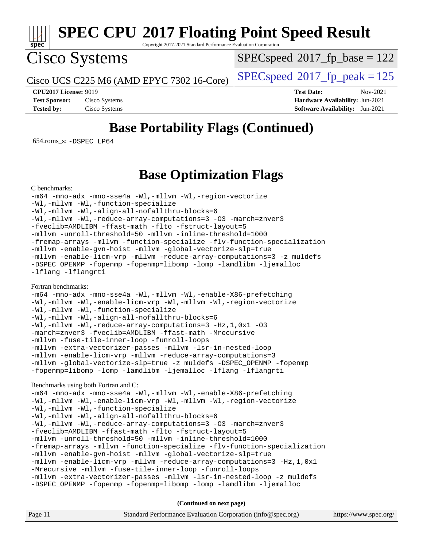

Copyright 2017-2021 Standard Performance Evaluation Corporation

## Cisco Systems

[SPECspeed](http://www.spec.org/auto/cpu2017/Docs/result-fields.html#SPECspeed2017fpbase)<sup>®</sup>2017 fp base = 122

Cisco UCS C225 M6 (AMD EPYC 7302 16-Core)  $\left| \text{SPECspeed} \right| \approx 2017 \text{ fp\_peak} = 125$  $\left| \text{SPECspeed} \right| \approx 2017 \text{ fp\_peak} = 125$  $\left| \text{SPECspeed} \right| \approx 2017 \text{ fp\_peak} = 125$ 

**[CPU2017 License:](http://www.spec.org/auto/cpu2017/Docs/result-fields.html#CPU2017License)** 9019 **[Test Date:](http://www.spec.org/auto/cpu2017/Docs/result-fields.html#TestDate)** Nov-2021 **[Test Sponsor:](http://www.spec.org/auto/cpu2017/Docs/result-fields.html#TestSponsor)** Cisco Systems **[Hardware Availability:](http://www.spec.org/auto/cpu2017/Docs/result-fields.html#HardwareAvailability)** Jun-2021 **[Tested by:](http://www.spec.org/auto/cpu2017/Docs/result-fields.html#Testedby)** Cisco Systems **[Software Availability:](http://www.spec.org/auto/cpu2017/Docs/result-fields.html#SoftwareAvailability)** Jun-2021

### **[Base Portability Flags \(Continued\)](http://www.spec.org/auto/cpu2017/Docs/result-fields.html#BasePortabilityFlags)**

654.roms\_s: [-DSPEC\\_LP64](http://www.spec.org/cpu2017/results/res2021q4/cpu2017-20211207-30384.flags.html#suite_baseEXTRA_PORTABILITY654_roms_s_DSPEC_LP64)

### **[Base Optimization Flags](http://www.spec.org/auto/cpu2017/Docs/result-fields.html#BaseOptimizationFlags)**

[C benchmarks](http://www.spec.org/auto/cpu2017/Docs/result-fields.html#Cbenchmarks):

[-m64](http://www.spec.org/cpu2017/results/res2021q4/cpu2017-20211207-30384.flags.html#user_CCbase_F-m64) [-mno-adx](http://www.spec.org/cpu2017/results/res2021q4/cpu2017-20211207-30384.flags.html#user_CCbase_F-mno-adx) [-mno-sse4a](http://www.spec.org/cpu2017/results/res2021q4/cpu2017-20211207-30384.flags.html#user_CCbase_F-mno-sse4a) [-Wl,-mllvm -Wl,-region-vectorize](http://www.spec.org/cpu2017/results/res2021q4/cpu2017-20211207-30384.flags.html#user_CCbase_F-region-vectorize_fb6c6b5aa293c88efc6c7c2b52b20755e943585b1fe8658c35afef78727fff56e1a56891413c30e36b8e2a6f9a71126986319243e80eb6110b78b288f533c52b) [-Wl,-mllvm -Wl,-function-specialize](http://www.spec.org/cpu2017/results/res2021q4/cpu2017-20211207-30384.flags.html#user_CCbase_F-function-specialize_7e7e661e57922243ee67c9a1251cb8910e607325179a0ce7f2884e09a6f5d4a5ef0ae4f37e8a2a11c95fc48e931f06dc2b6016f14b511fcb441e048bef1b065a) [-Wl,-mllvm -Wl,-align-all-nofallthru-blocks=6](http://www.spec.org/cpu2017/results/res2021q4/cpu2017-20211207-30384.flags.html#user_CCbase_F-align-all-nofallthru-blocks) [-Wl,-mllvm -Wl,-reduce-array-computations=3](http://www.spec.org/cpu2017/results/res2021q4/cpu2017-20211207-30384.flags.html#user_CCbase_F-reduce-array-computations_b882aefe7a5dda4e33149f6299762b9a720dace3e498e13756f4c04e5a19edf5315c1f3993de2e61ec41e8c206231f84e05da7040e1bb5d69ba27d10a12507e4) [-O3](http://www.spec.org/cpu2017/results/res2021q4/cpu2017-20211207-30384.flags.html#user_CCbase_F-O3) [-march=znver3](http://www.spec.org/cpu2017/results/res2021q4/cpu2017-20211207-30384.flags.html#user_CCbase_aocc-march) [-fveclib=AMDLIBM](http://www.spec.org/cpu2017/results/res2021q4/cpu2017-20211207-30384.flags.html#user_CCbase_F-fveclib) [-ffast-math](http://www.spec.org/cpu2017/results/res2021q4/cpu2017-20211207-30384.flags.html#user_CCbase_aocc-ffast-math) [-flto](http://www.spec.org/cpu2017/results/res2021q4/cpu2017-20211207-30384.flags.html#user_CCbase_aocc-flto) [-fstruct-layout=5](http://www.spec.org/cpu2017/results/res2021q4/cpu2017-20211207-30384.flags.html#user_CCbase_F-struct-layout) [-mllvm -unroll-threshold=50](http://www.spec.org/cpu2017/results/res2021q4/cpu2017-20211207-30384.flags.html#user_CCbase_F-unroll-threshold_458874500b2c105d6d5cb4d7a611c40e2b16e9e3d26b355fea72d644c3673b4de4b3932662f0ed3dbec75c491a13da2d2ca81180bd779dc531083ef1e1e549dc) [-mllvm -inline-threshold=1000](http://www.spec.org/cpu2017/results/res2021q4/cpu2017-20211207-30384.flags.html#user_CCbase_F-inline-threshold_b7832241b0a6397e4ecdbaf0eb7defdc10f885c2a282fa3240fdc99844d543fda39cf8a4a9dccf68cf19b5438ac3b455264f478df15da0f4988afa40d8243bab) [-fremap-arrays](http://www.spec.org/cpu2017/results/res2021q4/cpu2017-20211207-30384.flags.html#user_CCbase_F-fremap-arrays) [-mllvm -function-specialize](http://www.spec.org/cpu2017/results/res2021q4/cpu2017-20211207-30384.flags.html#user_CCbase_F-function-specialize_233b3bdba86027f1b094368157e481c5bc59f40286dc25bfadc1858dcd5745c24fd30d5f188710db7fea399bcc9f44a80b3ce3aacc70a8870250c3ae5e1f35b8) [-flv-function-specialization](http://www.spec.org/cpu2017/results/res2021q4/cpu2017-20211207-30384.flags.html#user_CCbase_F-flv-function-specialization) [-mllvm -enable-gvn-hoist](http://www.spec.org/cpu2017/results/res2021q4/cpu2017-20211207-30384.flags.html#user_CCbase_F-enable-gvn-hoist_e5856354646dd6ca1333a0ad99b817e4cf8932b91b82809fd8fd47ceff7b22a89eba5c98fd3e3fa5200368fd772cec3dd56abc3c8f7b655a71b9f9848dddedd5) [-mllvm -global-vectorize-slp=true](http://www.spec.org/cpu2017/results/res2021q4/cpu2017-20211207-30384.flags.html#user_CCbase_F-global-vectorize-slp_f701c289ed3fc79483844cad3672606d268e3123d2651e764a36e57810b634b30ff7af25c43ce4288d0e4c1cc47ba156fce6ed971bc0d0e53c4c557f353d3dec) [-mllvm -enable-licm-vrp](http://www.spec.org/cpu2017/results/res2021q4/cpu2017-20211207-30384.flags.html#user_CCbase_F-enable-licm-vrp_82fd83574dee81d8c8043a1355024a53ba7c23d449242d72368fd778ae4cd8625fb6c8e473e88c632367ccc13b0c321b9a13b8db897fcfc1592cf0205fd356b5) [-mllvm -reduce-array-computations=3](http://www.spec.org/cpu2017/results/res2021q4/cpu2017-20211207-30384.flags.html#user_CCbase_F-reduce-array-computations) [-z muldefs](http://www.spec.org/cpu2017/results/res2021q4/cpu2017-20211207-30384.flags.html#user_CCbase_aocc-muldefs) [-DSPEC\\_OPENMP](http://www.spec.org/cpu2017/results/res2021q4/cpu2017-20211207-30384.flags.html#suite_CCbase_DSPEC_OPENMP) [-fopenmp](http://www.spec.org/cpu2017/results/res2021q4/cpu2017-20211207-30384.flags.html#user_CCbase_aocc-fopenmp) [-fopenmp=libomp](http://www.spec.org/cpu2017/results/res2021q4/cpu2017-20211207-30384.flags.html#user_CCbase_aocc-fopenmp_3eb6ab80166bcc84161ff8c20c8d5bc344f88119f45620444596454f7d72e99b7a0ceefc2d1b4d190bd07306bbfdfc20f11f5a2dc69c9b03c72239f8406741c3) [-lomp](http://www.spec.org/cpu2017/results/res2021q4/cpu2017-20211207-30384.flags.html#user_CCbase_F-lomp) [-lamdlibm](http://www.spec.org/cpu2017/results/res2021q4/cpu2017-20211207-30384.flags.html#user_CCbase_F-lamdlibm) [-ljemalloc](http://www.spec.org/cpu2017/results/res2021q4/cpu2017-20211207-30384.flags.html#user_CCbase_jemalloc-lib) [-lflang](http://www.spec.org/cpu2017/results/res2021q4/cpu2017-20211207-30384.flags.html#user_CCbase_F-lflang) [-lflangrti](http://www.spec.org/cpu2017/results/res2021q4/cpu2017-20211207-30384.flags.html#user_CCbase_F-lflangrti)

### [Fortran benchmarks](http://www.spec.org/auto/cpu2017/Docs/result-fields.html#Fortranbenchmarks):

[-m64](http://www.spec.org/cpu2017/results/res2021q4/cpu2017-20211207-30384.flags.html#user_FCbase_F-m64) [-mno-adx](http://www.spec.org/cpu2017/results/res2021q4/cpu2017-20211207-30384.flags.html#user_FCbase_F-mno-adx) [-mno-sse4a](http://www.spec.org/cpu2017/results/res2021q4/cpu2017-20211207-30384.flags.html#user_FCbase_F-mno-sse4a) [-Wl,-mllvm -Wl,-enable-X86-prefetching](http://www.spec.org/cpu2017/results/res2021q4/cpu2017-20211207-30384.flags.html#user_FCbase_F-enable-X86-prefetching_362de7b2f7f327d498ff3502bcaa6d8937de40fbbc59a600e539433e6b2cb9ea5e30d4a00c3465ce74a160670b5fcaffd57d10fdc90b0d7ee2c6f387a6bf1aee) [-Wl,-mllvm -Wl,-enable-licm-vrp](http://www.spec.org/cpu2017/results/res2021q4/cpu2017-20211207-30384.flags.html#user_FCbase_F-enable-licm-vrp_65c4fc69039207ec88421e1591ba3bbf2ac715c2f390cac268ece6f40ae7757bd65f971ef38c9b70aedd2bf37e4037d3d64a7fe88db6aed78b6f244274772259) [-Wl,-mllvm -Wl,-region-vectorize](http://www.spec.org/cpu2017/results/res2021q4/cpu2017-20211207-30384.flags.html#user_FCbase_F-region-vectorize_fb6c6b5aa293c88efc6c7c2b52b20755e943585b1fe8658c35afef78727fff56e1a56891413c30e36b8e2a6f9a71126986319243e80eb6110b78b288f533c52b) [-Wl,-mllvm -Wl,-function-specialize](http://www.spec.org/cpu2017/results/res2021q4/cpu2017-20211207-30384.flags.html#user_FCbase_F-function-specialize_7e7e661e57922243ee67c9a1251cb8910e607325179a0ce7f2884e09a6f5d4a5ef0ae4f37e8a2a11c95fc48e931f06dc2b6016f14b511fcb441e048bef1b065a) [-Wl,-mllvm -Wl,-align-all-nofallthru-blocks=6](http://www.spec.org/cpu2017/results/res2021q4/cpu2017-20211207-30384.flags.html#user_FCbase_F-align-all-nofallthru-blocks) [-Wl,-mllvm -Wl,-reduce-array-computations=3](http://www.spec.org/cpu2017/results/res2021q4/cpu2017-20211207-30384.flags.html#user_FCbase_F-reduce-array-computations_b882aefe7a5dda4e33149f6299762b9a720dace3e498e13756f4c04e5a19edf5315c1f3993de2e61ec41e8c206231f84e05da7040e1bb5d69ba27d10a12507e4) [-Hz,1,0x1](http://www.spec.org/cpu2017/results/res2021q4/cpu2017-20211207-30384.flags.html#user_FCbase_F-save-array-metadata) [-O3](http://www.spec.org/cpu2017/results/res2021q4/cpu2017-20211207-30384.flags.html#user_FCbase_F-O3) [-march=znver3](http://www.spec.org/cpu2017/results/res2021q4/cpu2017-20211207-30384.flags.html#user_FCbase_aocc-march) [-fveclib=AMDLIBM](http://www.spec.org/cpu2017/results/res2021q4/cpu2017-20211207-30384.flags.html#user_FCbase_F-fveclib) [-ffast-math](http://www.spec.org/cpu2017/results/res2021q4/cpu2017-20211207-30384.flags.html#user_FCbase_aocc-ffast-math) [-Mrecursive](http://www.spec.org/cpu2017/results/res2021q4/cpu2017-20211207-30384.flags.html#user_FCbase_F-mrecursive) [-mllvm -fuse-tile-inner-loop](http://www.spec.org/cpu2017/results/res2021q4/cpu2017-20211207-30384.flags.html#user_FCbase_F-fuse-tile-inner-loop_a96ec74f3ab7113ca948afab2f7df720fdaa7c20bd316986c0fe40ef5f82f2613ee26bde25c6cf421f527cd549c2b0b12b7e2cdf22e7a5a52600673d8851f1df) [-funroll-loops](http://www.spec.org/cpu2017/results/res2021q4/cpu2017-20211207-30384.flags.html#user_FCbase_aocc-unroll-loops) [-mllvm -extra-vectorizer-passes](http://www.spec.org/cpu2017/results/res2021q4/cpu2017-20211207-30384.flags.html#user_FCbase_F-extra-vectorizer-passes_4bb9f90681e045f5ce38050c5c48e52c5a95ed819cbc44e12f6b389a91a38f1bfb7d9f51b06906bf2bd7ccd881019f6383c418982c71e3a142c10a060056d555) [-mllvm -lsr-in-nested-loop](http://www.spec.org/cpu2017/results/res2021q4/cpu2017-20211207-30384.flags.html#user_FCbase_F-lsr-in-nested-loop_73f878522b3ccb742989d8e6de767863b372c2128b38f859376ee3fb883bc58dcc0955f53f856eb534bcc3be9d53927141e78ef6b7f1398bb0518a7b833043eb) [-mllvm -enable-licm-vrp](http://www.spec.org/cpu2017/results/res2021q4/cpu2017-20211207-30384.flags.html#user_FCbase_F-enable-licm-vrp_82fd83574dee81d8c8043a1355024a53ba7c23d449242d72368fd778ae4cd8625fb6c8e473e88c632367ccc13b0c321b9a13b8db897fcfc1592cf0205fd356b5) [-mllvm -reduce-array-computations=3](http://www.spec.org/cpu2017/results/res2021q4/cpu2017-20211207-30384.flags.html#user_FCbase_F-reduce-array-computations) [-mllvm -global-vectorize-slp=true](http://www.spec.org/cpu2017/results/res2021q4/cpu2017-20211207-30384.flags.html#user_FCbase_F-global-vectorize-slp_f701c289ed3fc79483844cad3672606d268e3123d2651e764a36e57810b634b30ff7af25c43ce4288d0e4c1cc47ba156fce6ed971bc0d0e53c4c557f353d3dec) [-z muldefs](http://www.spec.org/cpu2017/results/res2021q4/cpu2017-20211207-30384.flags.html#user_FCbase_aocc-muldefs) [-DSPEC\\_OPENMP](http://www.spec.org/cpu2017/results/res2021q4/cpu2017-20211207-30384.flags.html#suite_FCbase_DSPEC_OPENMP) [-fopenmp](http://www.spec.org/cpu2017/results/res2021q4/cpu2017-20211207-30384.flags.html#user_FCbase_aocc-fopenmp) [-fopenmp=libomp](http://www.spec.org/cpu2017/results/res2021q4/cpu2017-20211207-30384.flags.html#user_FCbase_aocc-fopenmp_3eb6ab80166bcc84161ff8c20c8d5bc344f88119f45620444596454f7d72e99b7a0ceefc2d1b4d190bd07306bbfdfc20f11f5a2dc69c9b03c72239f8406741c3) [-lomp](http://www.spec.org/cpu2017/results/res2021q4/cpu2017-20211207-30384.flags.html#user_FCbase_F-lomp) [-lamdlibm](http://www.spec.org/cpu2017/results/res2021q4/cpu2017-20211207-30384.flags.html#user_FCbase_F-lamdlibm) [-ljemalloc](http://www.spec.org/cpu2017/results/res2021q4/cpu2017-20211207-30384.flags.html#user_FCbase_jemalloc-lib) [-lflang](http://www.spec.org/cpu2017/results/res2021q4/cpu2017-20211207-30384.flags.html#user_FCbase_F-lflang) [-lflangrti](http://www.spec.org/cpu2017/results/res2021q4/cpu2017-20211207-30384.flags.html#user_FCbase_F-lflangrti)

### [Benchmarks using both Fortran and C](http://www.spec.org/auto/cpu2017/Docs/result-fields.html#BenchmarksusingbothFortranandC):

```
-m64 -mno-adx -mno-sse4a -Wl,-mllvm -Wl,-enable-X86-prefetching
-Wl,-mllvm -Wl,-enable-licm-vrp -Wl,-mllvm -Wl,-region-vectorize
-Wl,-mllvm -Wl,-function-specialize
-Wl,-mllvm -Wl,-align-all-nofallthru-blocks=6
-Wl,-mllvm -Wl,-reduce-array-computations=3 -O3 -march=znver3
-fveclib=AMDLIBM -ffast-math -flto -fstruct-layout=5
-mllvm -unroll-threshold=50 -mllvm -inline-threshold=1000
-fremap-arrays -mllvm -function-specialize -flv-function-specialization
-mllvm -enable-gvn-hoist -mllvm -global-vectorize-slp=true
-mllvm -enable-licm-vrp -mllvm -reduce-array-computations=3 -Hz,1,0x1
-Mrecursive -mllvm -fuse-tile-inner-loop -funroll-loops
-mllvm -extra-vectorizer-passes -mllvm -lsr-in-nested-loop -z muldefs
-DSPEC_OPENMP -fopenmp -fopenmp=libomp -lomp -lamdlibm -ljemalloc
```
**(Continued on next page)**

| Page 11 | Standard Performance Evaluation Corporation (info@spec.org) | https://www.spec.org/ |
|---------|-------------------------------------------------------------|-----------------------|
|---------|-------------------------------------------------------------|-----------------------|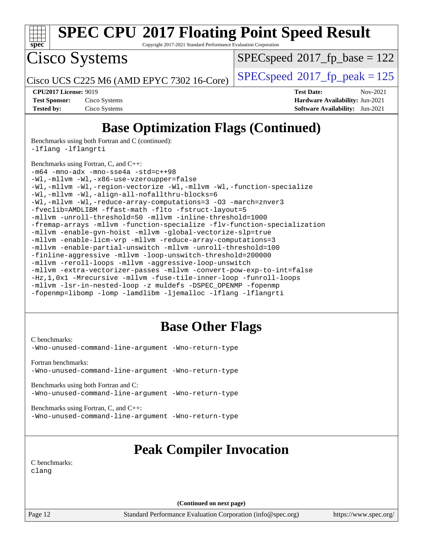

Copyright 2017-2021 Standard Performance Evaluation Corporation

Cisco Systems

 $SPEC speed^{\circ}2017\_fp\_base = 122$ 

Cisco UCS C225 M6 (AMD EPYC 7302 16-Core)  $\left| \text{SPEC speed} \right|^{2}$  2017 fp peak = 125

**[Tested by:](http://www.spec.org/auto/cpu2017/Docs/result-fields.html#Testedby)** Cisco Systems **[Software Availability:](http://www.spec.org/auto/cpu2017/Docs/result-fields.html#SoftwareAvailability)** Jun-2021

**[CPU2017 License:](http://www.spec.org/auto/cpu2017/Docs/result-fields.html#CPU2017License)** 9019 **[Test Date:](http://www.spec.org/auto/cpu2017/Docs/result-fields.html#TestDate)** Nov-2021 **[Test Sponsor:](http://www.spec.org/auto/cpu2017/Docs/result-fields.html#TestSponsor)** Cisco Systems **[Hardware Availability:](http://www.spec.org/auto/cpu2017/Docs/result-fields.html#HardwareAvailability)** Jun-2021

### **[Base Optimization Flags \(Continued\)](http://www.spec.org/auto/cpu2017/Docs/result-fields.html#BaseOptimizationFlags)**

[Benchmarks using both Fortran and C](http://www.spec.org/auto/cpu2017/Docs/result-fields.html#BenchmarksusingbothFortranandC) (continued):

[-lflang](http://www.spec.org/cpu2017/results/res2021q4/cpu2017-20211207-30384.flags.html#user_CC_FCbase_F-lflang) [-lflangrti](http://www.spec.org/cpu2017/results/res2021q4/cpu2017-20211207-30384.flags.html#user_CC_FCbase_F-lflangrti)

[Benchmarks using Fortran, C, and C++:](http://www.spec.org/auto/cpu2017/Docs/result-fields.html#BenchmarksusingFortranCandCXX)

[-m64](http://www.spec.org/cpu2017/results/res2021q4/cpu2017-20211207-30384.flags.html#user_CC_CXX_FCbase_F-m64) [-mno-adx](http://www.spec.org/cpu2017/results/res2021q4/cpu2017-20211207-30384.flags.html#user_CC_CXX_FCbase_F-mno-adx) [-mno-sse4a](http://www.spec.org/cpu2017/results/res2021q4/cpu2017-20211207-30384.flags.html#user_CC_CXX_FCbase_F-mno-sse4a) [-std=c++98](http://www.spec.org/cpu2017/results/res2021q4/cpu2017-20211207-30384.flags.html#user_CC_CXX_FCbase_std-cpp) [-Wl,-mllvm -Wl,-x86-use-vzeroupper=false](http://www.spec.org/cpu2017/results/res2021q4/cpu2017-20211207-30384.flags.html#user_CC_CXX_FCbase_F-use-vzeroupper_f792211b0552b0142c11cf651c85f88d7eca3e3e6d4ab29ab8b0b7be9c7d83df7aebb846b5dded1424ec84d39acb59d058815f97bc3ae9de4ba00ee4e2945c83) [-Wl,-mllvm -Wl,-region-vectorize](http://www.spec.org/cpu2017/results/res2021q4/cpu2017-20211207-30384.flags.html#user_CC_CXX_FCbase_F-region-vectorize_fb6c6b5aa293c88efc6c7c2b52b20755e943585b1fe8658c35afef78727fff56e1a56891413c30e36b8e2a6f9a71126986319243e80eb6110b78b288f533c52b) [-Wl,-mllvm -Wl,-function-specialize](http://www.spec.org/cpu2017/results/res2021q4/cpu2017-20211207-30384.flags.html#user_CC_CXX_FCbase_F-function-specialize_7e7e661e57922243ee67c9a1251cb8910e607325179a0ce7f2884e09a6f5d4a5ef0ae4f37e8a2a11c95fc48e931f06dc2b6016f14b511fcb441e048bef1b065a) [-Wl,-mllvm -Wl,-align-all-nofallthru-blocks=6](http://www.spec.org/cpu2017/results/res2021q4/cpu2017-20211207-30384.flags.html#user_CC_CXX_FCbase_F-align-all-nofallthru-blocks) [-Wl,-mllvm -Wl,-reduce-array-computations=3](http://www.spec.org/cpu2017/results/res2021q4/cpu2017-20211207-30384.flags.html#user_CC_CXX_FCbase_F-reduce-array-computations_b882aefe7a5dda4e33149f6299762b9a720dace3e498e13756f4c04e5a19edf5315c1f3993de2e61ec41e8c206231f84e05da7040e1bb5d69ba27d10a12507e4) [-O3](http://www.spec.org/cpu2017/results/res2021q4/cpu2017-20211207-30384.flags.html#user_CC_CXX_FCbase_F-O3) [-march=znver3](http://www.spec.org/cpu2017/results/res2021q4/cpu2017-20211207-30384.flags.html#user_CC_CXX_FCbase_aocc-march) [-fveclib=AMDLIBM](http://www.spec.org/cpu2017/results/res2021q4/cpu2017-20211207-30384.flags.html#user_CC_CXX_FCbase_F-fveclib) [-ffast-math](http://www.spec.org/cpu2017/results/res2021q4/cpu2017-20211207-30384.flags.html#user_CC_CXX_FCbase_aocc-ffast-math) [-flto](http://www.spec.org/cpu2017/results/res2021q4/cpu2017-20211207-30384.flags.html#user_CC_CXX_FCbase_aocc-flto) [-fstruct-layout=5](http://www.spec.org/cpu2017/results/res2021q4/cpu2017-20211207-30384.flags.html#user_CC_CXX_FCbase_F-struct-layout) [-mllvm -unroll-threshold=50](http://www.spec.org/cpu2017/results/res2021q4/cpu2017-20211207-30384.flags.html#user_CC_CXX_FCbase_F-unroll-threshold_458874500b2c105d6d5cb4d7a611c40e2b16e9e3d26b355fea72d644c3673b4de4b3932662f0ed3dbec75c491a13da2d2ca81180bd779dc531083ef1e1e549dc) [-mllvm -inline-threshold=1000](http://www.spec.org/cpu2017/results/res2021q4/cpu2017-20211207-30384.flags.html#user_CC_CXX_FCbase_F-inline-threshold_b7832241b0a6397e4ecdbaf0eb7defdc10f885c2a282fa3240fdc99844d543fda39cf8a4a9dccf68cf19b5438ac3b455264f478df15da0f4988afa40d8243bab) [-fremap-arrays](http://www.spec.org/cpu2017/results/res2021q4/cpu2017-20211207-30384.flags.html#user_CC_CXX_FCbase_F-fremap-arrays) [-mllvm -function-specialize](http://www.spec.org/cpu2017/results/res2021q4/cpu2017-20211207-30384.flags.html#user_CC_CXX_FCbase_F-function-specialize_233b3bdba86027f1b094368157e481c5bc59f40286dc25bfadc1858dcd5745c24fd30d5f188710db7fea399bcc9f44a80b3ce3aacc70a8870250c3ae5e1f35b8) [-flv-function-specialization](http://www.spec.org/cpu2017/results/res2021q4/cpu2017-20211207-30384.flags.html#user_CC_CXX_FCbase_F-flv-function-specialization) [-mllvm -enable-gvn-hoist](http://www.spec.org/cpu2017/results/res2021q4/cpu2017-20211207-30384.flags.html#user_CC_CXX_FCbase_F-enable-gvn-hoist_e5856354646dd6ca1333a0ad99b817e4cf8932b91b82809fd8fd47ceff7b22a89eba5c98fd3e3fa5200368fd772cec3dd56abc3c8f7b655a71b9f9848dddedd5) [-mllvm -global-vectorize-slp=true](http://www.spec.org/cpu2017/results/res2021q4/cpu2017-20211207-30384.flags.html#user_CC_CXX_FCbase_F-global-vectorize-slp_f701c289ed3fc79483844cad3672606d268e3123d2651e764a36e57810b634b30ff7af25c43ce4288d0e4c1cc47ba156fce6ed971bc0d0e53c4c557f353d3dec) [-mllvm -enable-licm-vrp](http://www.spec.org/cpu2017/results/res2021q4/cpu2017-20211207-30384.flags.html#user_CC_CXX_FCbase_F-enable-licm-vrp_82fd83574dee81d8c8043a1355024a53ba7c23d449242d72368fd778ae4cd8625fb6c8e473e88c632367ccc13b0c321b9a13b8db897fcfc1592cf0205fd356b5) [-mllvm -reduce-array-computations=3](http://www.spec.org/cpu2017/results/res2021q4/cpu2017-20211207-30384.flags.html#user_CC_CXX_FCbase_F-reduce-array-computations) [-mllvm -enable-partial-unswitch](http://www.spec.org/cpu2017/results/res2021q4/cpu2017-20211207-30384.flags.html#user_CC_CXX_FCbase_F-enable-partial-unswitch_6e1c33f981d77963b1eaf834973128a7f33ce3f8e27f54689656697a35e89dcc875281e0e6283d043e32f367dcb605ba0e307a92e830f7e326789fa6c61b35d3) [-mllvm -unroll-threshold=100](http://www.spec.org/cpu2017/results/res2021q4/cpu2017-20211207-30384.flags.html#user_CC_CXX_FCbase_F-unroll-threshold) [-finline-aggressive](http://www.spec.org/cpu2017/results/res2021q4/cpu2017-20211207-30384.flags.html#user_CC_CXX_FCbase_F-finline-aggressive) [-mllvm -loop-unswitch-threshold=200000](http://www.spec.org/cpu2017/results/res2021q4/cpu2017-20211207-30384.flags.html#user_CC_CXX_FCbase_F-loop-unswitch-threshold_f9a82ae3270e55b5fbf79d0d96ee93606b73edbbe527d20b18b7bff1a3a146ad50cfc7454c5297978340ae9213029016a7d16221274d672d3f7f42ed25274e1d) [-mllvm -reroll-loops](http://www.spec.org/cpu2017/results/res2021q4/cpu2017-20211207-30384.flags.html#user_CC_CXX_FCbase_F-reroll-loops) [-mllvm -aggressive-loop-unswitch](http://www.spec.org/cpu2017/results/res2021q4/cpu2017-20211207-30384.flags.html#user_CC_CXX_FCbase_F-aggressive-loop-unswitch_abd8177005d493f9a81f88ae32814acdc0422950e54bc53b0605c538e2e7549eb43d48c826089056b98aa2f0c142dc7ed1401fa1c97db9286a8c3ff748437b59) [-mllvm -extra-vectorizer-passes](http://www.spec.org/cpu2017/results/res2021q4/cpu2017-20211207-30384.flags.html#user_CC_CXX_FCbase_F-extra-vectorizer-passes_4bb9f90681e045f5ce38050c5c48e52c5a95ed819cbc44e12f6b389a91a38f1bfb7d9f51b06906bf2bd7ccd881019f6383c418982c71e3a142c10a060056d555) [-mllvm -convert-pow-exp-to-int=false](http://www.spec.org/cpu2017/results/res2021q4/cpu2017-20211207-30384.flags.html#user_CC_CXX_FCbase_F-convert-pow-exp-to-int_48075d7f300181d7350b7c152e089ba974e4acf53c583458eae87b0ecd6f9aa5a8546e2797aca77a784d497b972647cfd65b81c02996ee1106af5ba1043433c1) [-Hz,1,0x1](http://www.spec.org/cpu2017/results/res2021q4/cpu2017-20211207-30384.flags.html#user_CC_CXX_FCbase_F-save-array-metadata) [-Mrecursive](http://www.spec.org/cpu2017/results/res2021q4/cpu2017-20211207-30384.flags.html#user_CC_CXX_FCbase_F-mrecursive) [-mllvm -fuse-tile-inner-loop](http://www.spec.org/cpu2017/results/res2021q4/cpu2017-20211207-30384.flags.html#user_CC_CXX_FCbase_F-fuse-tile-inner-loop_a96ec74f3ab7113ca948afab2f7df720fdaa7c20bd316986c0fe40ef5f82f2613ee26bde25c6cf421f527cd549c2b0b12b7e2cdf22e7a5a52600673d8851f1df) [-funroll-loops](http://www.spec.org/cpu2017/results/res2021q4/cpu2017-20211207-30384.flags.html#user_CC_CXX_FCbase_aocc-unroll-loops) [-mllvm -lsr-in-nested-loop](http://www.spec.org/cpu2017/results/res2021q4/cpu2017-20211207-30384.flags.html#user_CC_CXX_FCbase_F-lsr-in-nested-loop_73f878522b3ccb742989d8e6de767863b372c2128b38f859376ee3fb883bc58dcc0955f53f856eb534bcc3be9d53927141e78ef6b7f1398bb0518a7b833043eb) [-z muldefs](http://www.spec.org/cpu2017/results/res2021q4/cpu2017-20211207-30384.flags.html#user_CC_CXX_FCbase_aocc-muldefs) [-DSPEC\\_OPENMP](http://www.spec.org/cpu2017/results/res2021q4/cpu2017-20211207-30384.flags.html#suite_CC_CXX_FCbase_DSPEC_OPENMP) [-fopenmp](http://www.spec.org/cpu2017/results/res2021q4/cpu2017-20211207-30384.flags.html#user_CC_CXX_FCbase_aocc-fopenmp) [-fopenmp=libomp](http://www.spec.org/cpu2017/results/res2021q4/cpu2017-20211207-30384.flags.html#user_CC_CXX_FCbase_aocc-fopenmp_3eb6ab80166bcc84161ff8c20c8d5bc344f88119f45620444596454f7d72e99b7a0ceefc2d1b4d190bd07306bbfdfc20f11f5a2dc69c9b03c72239f8406741c3) [-lomp](http://www.spec.org/cpu2017/results/res2021q4/cpu2017-20211207-30384.flags.html#user_CC_CXX_FCbase_F-lomp) [-lamdlibm](http://www.spec.org/cpu2017/results/res2021q4/cpu2017-20211207-30384.flags.html#user_CC_CXX_FCbase_F-lamdlibm) [-ljemalloc](http://www.spec.org/cpu2017/results/res2021q4/cpu2017-20211207-30384.flags.html#user_CC_CXX_FCbase_jemalloc-lib) [-lflang](http://www.spec.org/cpu2017/results/res2021q4/cpu2017-20211207-30384.flags.html#user_CC_CXX_FCbase_F-lflang) [-lflangrti](http://www.spec.org/cpu2017/results/res2021q4/cpu2017-20211207-30384.flags.html#user_CC_CXX_FCbase_F-lflangrti)

### **[Base Other Flags](http://www.spec.org/auto/cpu2017/Docs/result-fields.html#BaseOtherFlags)**

[C benchmarks](http://www.spec.org/auto/cpu2017/Docs/result-fields.html#Cbenchmarks): [-Wno-unused-command-line-argument](http://www.spec.org/cpu2017/results/res2021q4/cpu2017-20211207-30384.flags.html#user_CCbase_F-Wno-unused-command-line-argument) [-Wno-return-type](http://www.spec.org/cpu2017/results/res2021q4/cpu2017-20211207-30384.flags.html#user_CCbase_F-Waocc-no-return-type)

[Fortran benchmarks](http://www.spec.org/auto/cpu2017/Docs/result-fields.html#Fortranbenchmarks): [-Wno-unused-command-line-argument](http://www.spec.org/cpu2017/results/res2021q4/cpu2017-20211207-30384.flags.html#user_FCbase_F-Wno-unused-command-line-argument) [-Wno-return-type](http://www.spec.org/cpu2017/results/res2021q4/cpu2017-20211207-30384.flags.html#user_FCbase_F-Waocc-no-return-type)

[Benchmarks using both Fortran and C](http://www.spec.org/auto/cpu2017/Docs/result-fields.html#BenchmarksusingbothFortranandC): [-Wno-unused-command-line-argument](http://www.spec.org/cpu2017/results/res2021q4/cpu2017-20211207-30384.flags.html#user_CC_FCbase_F-Wno-unused-command-line-argument) [-Wno-return-type](http://www.spec.org/cpu2017/results/res2021q4/cpu2017-20211207-30384.flags.html#user_CC_FCbase_F-Waocc-no-return-type)

[Benchmarks using Fortran, C, and C++:](http://www.spec.org/auto/cpu2017/Docs/result-fields.html#BenchmarksusingFortranCandCXX) [-Wno-unused-command-line-argument](http://www.spec.org/cpu2017/results/res2021q4/cpu2017-20211207-30384.flags.html#user_CC_CXX_FCbase_F-Wno-unused-command-line-argument) [-Wno-return-type](http://www.spec.org/cpu2017/results/res2021q4/cpu2017-20211207-30384.flags.html#user_CC_CXX_FCbase_F-Waocc-no-return-type)

### **[Peak Compiler Invocation](http://www.spec.org/auto/cpu2017/Docs/result-fields.html#PeakCompilerInvocation)**

[C benchmarks](http://www.spec.org/auto/cpu2017/Docs/result-fields.html#Cbenchmarks): [clang](http://www.spec.org/cpu2017/results/res2021q4/cpu2017-20211207-30384.flags.html#user_CCpeak_clang-c)

**(Continued on next page)**

Page 12 Standard Performance Evaluation Corporation [\(info@spec.org\)](mailto:info@spec.org) <https://www.spec.org/>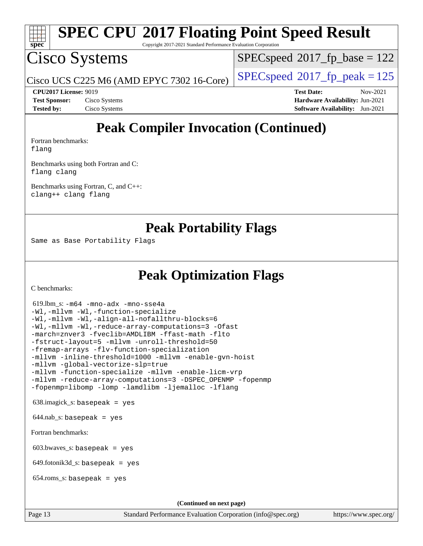

Copyright 2017-2021 Standard Performance Evaluation Corporation

## Cisco Systems

 $SPECspeed^{\circledcirc}2017_fp\_base = 122$  $SPECspeed^{\circledcirc}2017_fp\_base = 122$ 

Cisco UCS C225 M6 (AMD EPYC 7302 16-Core)  $\left| \text{SPECspeed} \right| \approx 2017 \text{ fp\_peak} = 125$  $\left| \text{SPECspeed} \right| \approx 2017 \text{ fp\_peak} = 125$  $\left| \text{SPECspeed} \right| \approx 2017 \text{ fp\_peak} = 125$ 

**[CPU2017 License:](http://www.spec.org/auto/cpu2017/Docs/result-fields.html#CPU2017License)** 9019 **[Test Date:](http://www.spec.org/auto/cpu2017/Docs/result-fields.html#TestDate)** Nov-2021 **[Test Sponsor:](http://www.spec.org/auto/cpu2017/Docs/result-fields.html#TestSponsor)** Cisco Systems **[Hardware Availability:](http://www.spec.org/auto/cpu2017/Docs/result-fields.html#HardwareAvailability)** Jun-2021 **[Tested by:](http://www.spec.org/auto/cpu2017/Docs/result-fields.html#Testedby)** Cisco Systems **[Software Availability:](http://www.spec.org/auto/cpu2017/Docs/result-fields.html#SoftwareAvailability)** Jun-2021

## **[Peak Compiler Invocation \(Continued\)](http://www.spec.org/auto/cpu2017/Docs/result-fields.html#PeakCompilerInvocation)**

[Fortran benchmarks](http://www.spec.org/auto/cpu2017/Docs/result-fields.html#Fortranbenchmarks): [flang](http://www.spec.org/cpu2017/results/res2021q4/cpu2017-20211207-30384.flags.html#user_FCpeak_flang)

[Benchmarks using both Fortran and C](http://www.spec.org/auto/cpu2017/Docs/result-fields.html#BenchmarksusingbothFortranandC): [flang](http://www.spec.org/cpu2017/results/res2021q4/cpu2017-20211207-30384.flags.html#user_CC_FCpeak_flang) [clang](http://www.spec.org/cpu2017/results/res2021q4/cpu2017-20211207-30384.flags.html#user_CC_FCpeak_clang-c)

[Benchmarks using Fortran, C, and C++:](http://www.spec.org/auto/cpu2017/Docs/result-fields.html#BenchmarksusingFortranCandCXX) [clang++](http://www.spec.org/cpu2017/results/res2021q4/cpu2017-20211207-30384.flags.html#user_CC_CXX_FCpeak_clang-cpp) [clang](http://www.spec.org/cpu2017/results/res2021q4/cpu2017-20211207-30384.flags.html#user_CC_CXX_FCpeak_clang-c) [flang](http://www.spec.org/cpu2017/results/res2021q4/cpu2017-20211207-30384.flags.html#user_CC_CXX_FCpeak_flang)

**[Peak Portability Flags](http://www.spec.org/auto/cpu2017/Docs/result-fields.html#PeakPortabilityFlags)**

Same as Base Portability Flags

### **[Peak Optimization Flags](http://www.spec.org/auto/cpu2017/Docs/result-fields.html#PeakOptimizationFlags)**

[C benchmarks](http://www.spec.org/auto/cpu2017/Docs/result-fields.html#Cbenchmarks):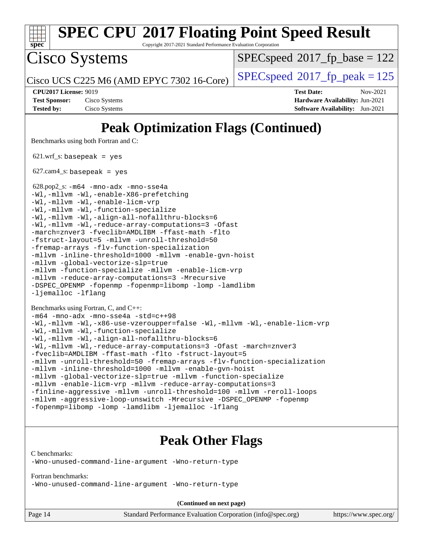| <b>SPEC CPU®2017 Floating Point Speed Result</b><br>Copyright 2017-2021 Standard Performance Evaluation Corporation<br>$SPEC speed^{\circ}2017\_fp\_base = 122$<br>$SPEC speed^{\circ}2017$ _fp_peak = 125<br><b>Test Date:</b><br>Nov-2021<br>Hardware Availability: Jun-2021<br><b>Software Availability:</b> Jun-2021<br><b>Peak Optimization Flags (Continued)</b> |
|------------------------------------------------------------------------------------------------------------------------------------------------------------------------------------------------------------------------------------------------------------------------------------------------------------------------------------------------------------------------|
|                                                                                                                                                                                                                                                                                                                                                                        |
|                                                                                                                                                                                                                                                                                                                                                                        |
|                                                                                                                                                                                                                                                                                                                                                                        |
|                                                                                                                                                                                                                                                                                                                                                                        |
|                                                                                                                                                                                                                                                                                                                                                                        |
| -DSPEC_OPENMP -fopenmp -fopenmp=libomp -lomp -lamdlibm                                                                                                                                                                                                                                                                                                                 |

```
Benchmarks using Fortran, C, and C++: 
-m64 -mno-adx -mno-sse4a -std=c++98
-Wl,-mllvm -Wl,-x86-use-vzeroupper=false -Wl,-mllvm -Wl,-enable-licm-vrp
-Wl,-mllvm -Wl,-function-specialize
-Wl,-mllvm -Wl,-align-all-nofallthru-blocks=6
-Wl,-mllvm -Wl,-reduce-array-computations=3 -Ofast -march=znver3
-fveclib=AMDLIBM -ffast-math -flto -fstruct-layout=5
-mllvm -unroll-threshold=50 -fremap-arrays -flv-function-specialization
-mllvm -inline-threshold=1000 -mllvm -enable-gvn-hoist
-mllvm -global-vectorize-slp=true -mllvm -function-specialize
-mllvm -enable-licm-vrp -mllvm -reduce-array-computations=3
-finline-aggressive -mllvm -unroll-threshold=100 -mllvm -reroll-loops
-mllvm -aggressive-loop-unswitch -Mrecursive -DSPEC_OPENMP -fopenmp
-fopenmp=libomp -lomp -lamdlibm -ljemalloc -lflang
```
### **[Peak Other Flags](http://www.spec.org/auto/cpu2017/Docs/result-fields.html#PeakOtherFlags)**

[C benchmarks](http://www.spec.org/auto/cpu2017/Docs/result-fields.html#Cbenchmarks):

[-Wno-unused-command-line-argument](http://www.spec.org/cpu2017/results/res2021q4/cpu2017-20211207-30384.flags.html#user_CCpeak_F-Wno-unused-command-line-argument) [-Wno-return-type](http://www.spec.org/cpu2017/results/res2021q4/cpu2017-20211207-30384.flags.html#user_CCpeak_F-Waocc-no-return-type)

[Fortran benchmarks](http://www.spec.org/auto/cpu2017/Docs/result-fields.html#Fortranbenchmarks):

[-Wno-unused-command-line-argument](http://www.spec.org/cpu2017/results/res2021q4/cpu2017-20211207-30384.flags.html#user_FCpeak_F-Wno-unused-command-line-argument) [-Wno-return-type](http://www.spec.org/cpu2017/results/res2021q4/cpu2017-20211207-30384.flags.html#user_FCpeak_F-Waocc-no-return-type)

**(Continued on next page)**

Page 14 Standard Performance Evaluation Corporation [\(info@spec.org\)](mailto:info@spec.org) <https://www.spec.org/>